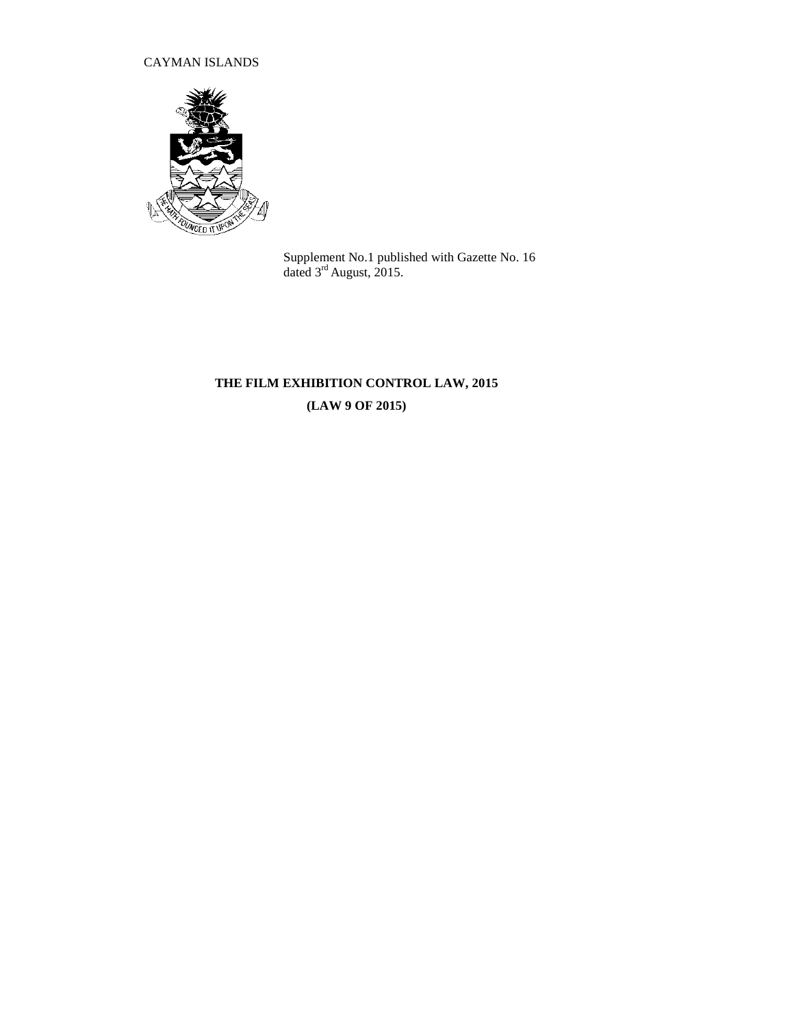CAYMAN ISLANDS



Supplement No.1 published with Gazette No. 16 dated  $3^{\text{rd}}$  August, 2015.

# **THE FILM EXHIBITION CONTROL LAW, 2015 (LAW 9 OF 2015)**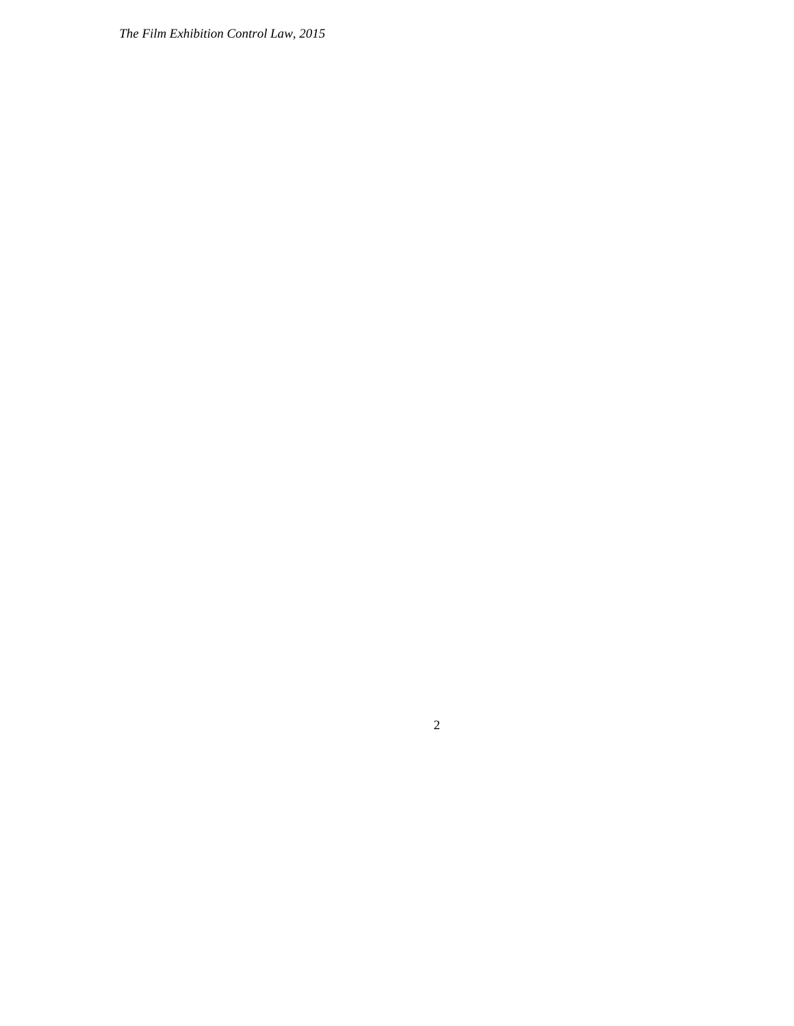*The Film Exhibition Control Law, 2015*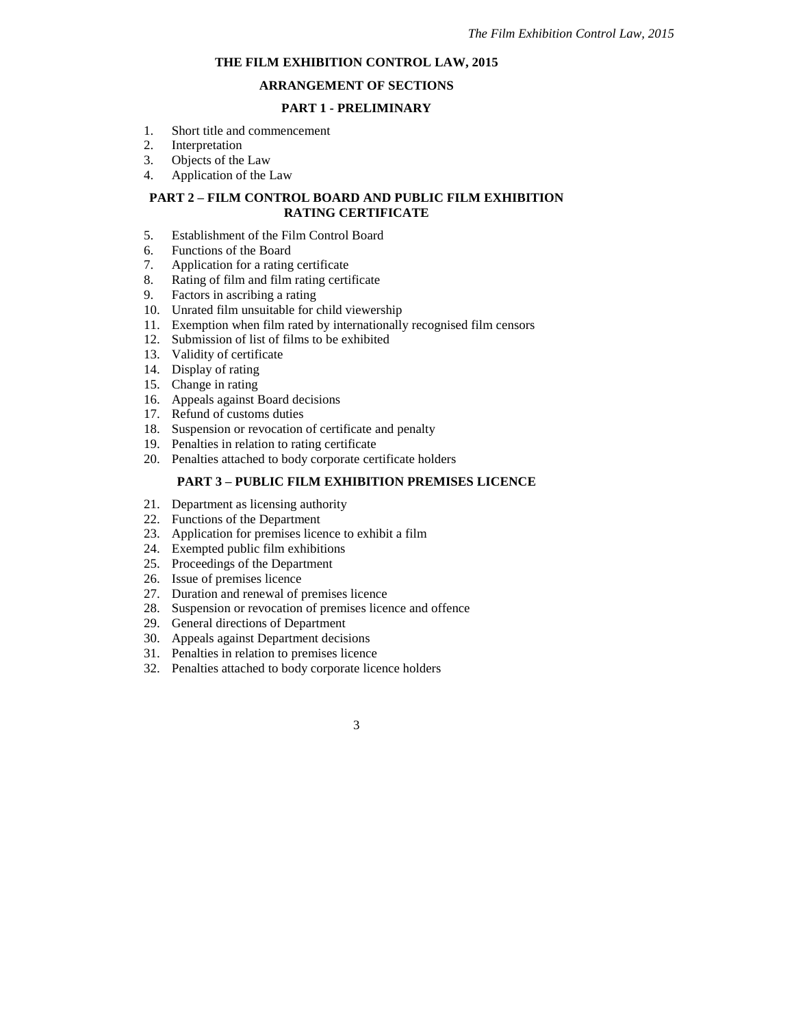## **THE FILM EXHIBITION CONTROL LAW, 2015**

### **ARRANGEMENT OF SECTIONS**

## **PART 1 - PRELIMINARY**

- 1. Short title and commencement<br>2. Interpretation
- **Interpretation**
- 3. Objects of the Law
- 4. Application of the Law

## **PART 2 – FILM CONTROL BOARD AND PUBLIC FILM EXHIBITION RATING CERTIFICATE**

- 5. Establishment of the Film Control Board
- 6. Functions of the Board
- 7. Application for a rating certificate
- 8. Rating of film and film rating certificate
- 9. Factors in ascribing a rating
- 10. Unrated film unsuitable for child viewership
- 11. Exemption when film rated by internationally recognised film censors
- 12. Submission of list of films to be exhibited
- 13. Validity of certificate
- 14. Display of rating
- 15. Change in rating
- 16. Appeals against Board decisions
- 17. Refund of customs duties
- 18. Suspension or revocation of certificate and penalty
- 19. Penalties in relation to rating certificate
- 20. Penalties attached to body corporate certificate holders

## **PART 3 – PUBLIC FILM EXHIBITION PREMISES LICENCE**

- 21. Department as licensing authority
- 22. Functions of the Department
- 23. Application for premises licence to exhibit a film
- 24. Exempted public film exhibitions
- 25. Proceedings of the Department
- 26. Issue of premises licence
- 27. Duration and renewal of premises licence
- 28. Suspension or revocation of premises licence and offence
- 29. General directions of Department
- 30. Appeals against Department decisions
- 31. Penalties in relation to premises licence
- 32. Penalties attached to body corporate licence holders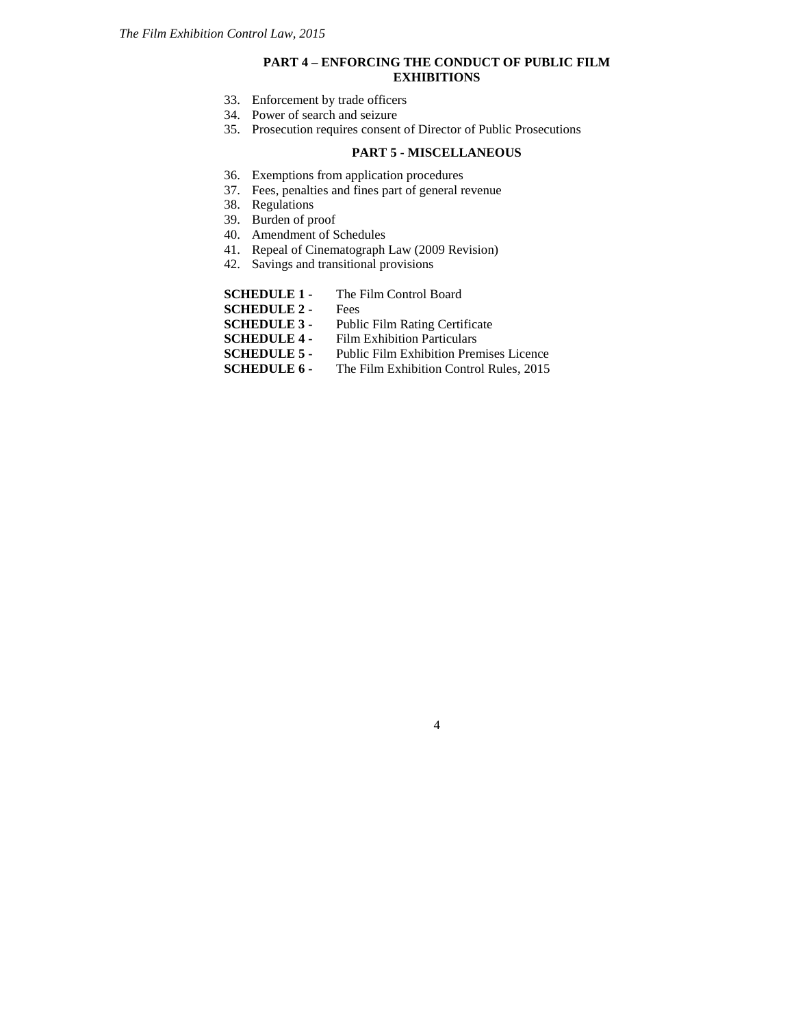## **PART 4 – ENFORCING THE CONDUCT OF PUBLIC FILM EXHIBITIONS**

- 33. Enforcement by trade officers
- 34. Power of search and seizure
- 35. Prosecution requires consent of Director of Public Prosecutions

## **PART 5 - MISCELLANEOUS**

- 36. Exemptions from application procedures
- 37. Fees, penalties and fines part of general revenue
- 38. Regulations
- 39. Burden of proof
- 40. Amendment of Schedules
- 41. Repeal of Cinematograph Law (2009 Revision)
- 42. Savings and transitional provisions

| <b>SCHEDULE 1 -</b> | The Film Control Board                         |
|---------------------|------------------------------------------------|
| <b>SCHEDULE 2 -</b> | Fees                                           |
| <b>SCHEDULE 3 -</b> | <b>Public Film Rating Certificate</b>          |
| <b>SCHEDULE 4 -</b> | <b>Film Exhibition Particulars</b>             |
| <b>SCHEDULE 5 -</b> | <b>Public Film Exhibition Premises Licence</b> |
| <b>SCHEDULE 6 -</b> | The Film Exhibition Control Rules, 2015        |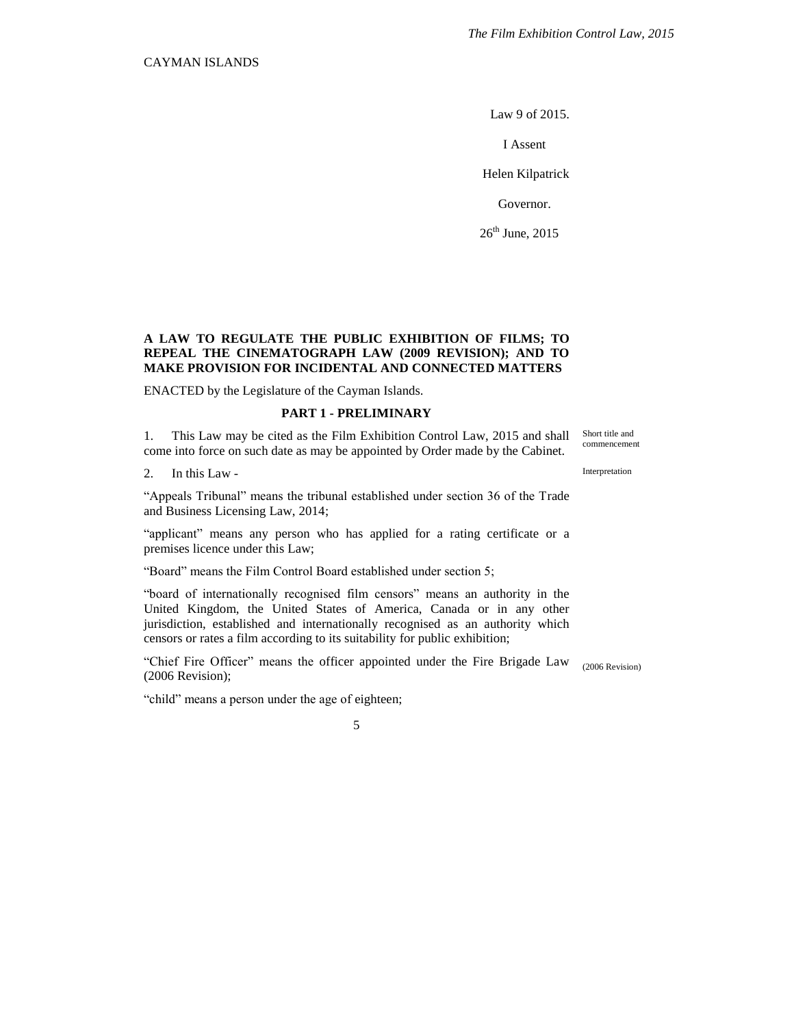Law 9 of 2015.

I Assent

Helen Kilpatrick

Governor.

 $26<sup>th</sup>$  June,  $2015$ 

## **A LAW TO REGULATE THE PUBLIC EXHIBITION OF FILMS; TO REPEAL THE CINEMATOGRAPH LAW (2009 REVISION); AND TO MAKE PROVISION FOR INCIDENTAL AND CONNECTED MATTERS**

ENACTED by the Legislature of the Cayman Islands.

#### **PART 1 - PRELIMINARY**

1. This Law may be cited as the Film Exhibition Control Law, 2015 and shall come into force on such date as may be appointed by Order made by the Cabinet. Short title and

2. In this Law -

"Appeals Tribunal" means the tribunal established under section 36 of the Trade and Business Licensing Law, 2014;

"applicant" means any person who has applied for a rating certificate or a premises licence under this Law;

"Board" means the Film Control Board established under section 5;

"board of internationally recognised film censors" means an authority in the United Kingdom, the United States of America, Canada or in any other jurisdiction, established and internationally recognised as an authority which censors or rates a film according to its suitability for public exhibition;

"Chief Fire Officer" means the officer appointed under the Fire Brigade Law (2006 Revision);

"child" means a person under the age of eighteen;

5

commencement

Interpretation

(2006 Revision)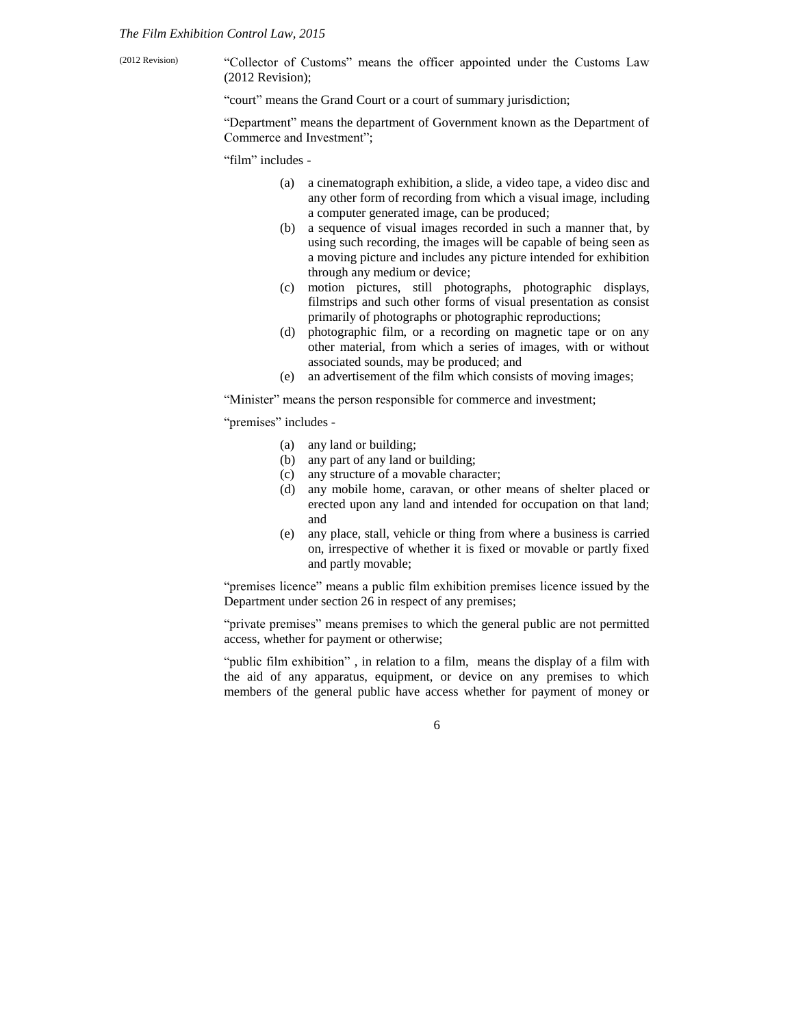"Collector of Customs" means the officer appointed under the Customs Law (2012 Revision); (2012 Revision)

"court" means the Grand Court or a court of summary jurisdiction;

"Department" means the department of Government known as the Department of Commerce and Investment";

"film" includes -

- (a) a cinematograph exhibition, a slide, a video tape, a video disc and any other form of recording from which a visual image, including a computer generated image, can be produced;
- (b) a sequence of visual images recorded in such a manner that, by using such recording, the images will be capable of being seen as a moving picture and includes any picture intended for exhibition through any medium or device;
- (c) motion pictures, still photographs, photographic displays, filmstrips and such other forms of visual presentation as consist primarily of photographs or photographic reproductions;
- (d) photographic film, or a recording on magnetic tape or on any other material, from which a series of images, with or without associated sounds, may be produced; and
- (e) an advertisement of the film which consists of moving images;

"Minister" means the person responsible for commerce and investment;

"premises" includes -

- (a) any land or building;
- (b) any part of any land or building;
- (c) any structure of a movable character;
- (d) any mobile home, caravan, or other means of shelter placed or erected upon any land and intended for occupation on that land; and
- (e) any place, stall, vehicle or thing from where a business is carried on, irrespective of whether it is fixed or movable or partly fixed and partly movable;

"premises licence" means a public film exhibition premises licence issued by the Department under section 26 in respect of any premises;

"private premises" means premises to which the general public are not permitted access, whether for payment or otherwise;

"public film exhibition" , in relation to a film, means the display of a film with the aid of any apparatus, equipment, or device on any premises to which members of the general public have access whether for payment of money or

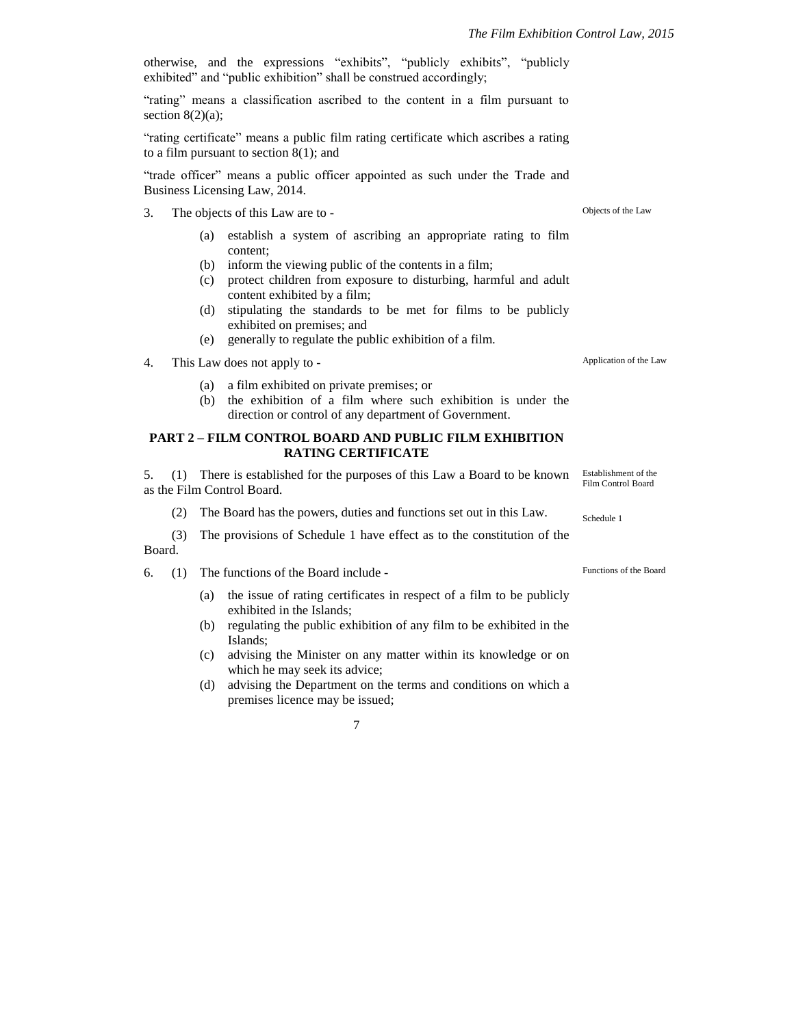otherwise, and the expressions "exhibits", "publicly exhibits", "publicly exhibited" and "public exhibition" shall be construed accordingly;

"rating" means a classification ascribed to the content in a film pursuant to section  $8(2)(a)$ ;

"rating certificate" means a public film rating certificate which ascribes a rating to a film pursuant to section 8(1); and

"trade officer" means a public officer appointed as such under the Trade and Business Licensing Law, 2014.

- 3. The objects of this Law are to
	- (a) establish a system of ascribing an appropriate rating to film content;
	- (b) inform the viewing public of the contents in a film;
	- (c) protect children from exposure to disturbing, harmful and adult content exhibited by a film;
	- (d) stipulating the standards to be met for films to be publicly exhibited on premises; and
	- (e) generally to regulate the public exhibition of a film.
- 4. This Law does not apply to
	- (a) a film exhibited on private premises; or
	- (b) the exhibition of a film where such exhibition is under the direction or control of any department of Government.

### **PART 2 – FILM CONTROL BOARD AND PUBLIC FILM EXHIBITION RATING CERTIFICATE**

5. (1) There is established for the purposes of this Law a Board to be known as the Film Control Board.

(2) The Board has the powers, duties and functions set out in this Law.

(3) The provisions of Schedule 1 have effect as to the constitution of the Board.

- 6. (1) The functions of the Board include
	- (a) the issue of rating certificates in respect of a film to be publicly exhibited in the Islands;
	- (b) regulating the public exhibition of any film to be exhibited in the Islands;
	- (c) advising the Minister on any matter within its knowledge or on which he may seek its advice;
	- (d) advising the Department on the terms and conditions on which a premises licence may be issued;

7

Objects of the Law

Application of the Law

Functions of the Board

Establishment of the Film Control Board

Schedule 1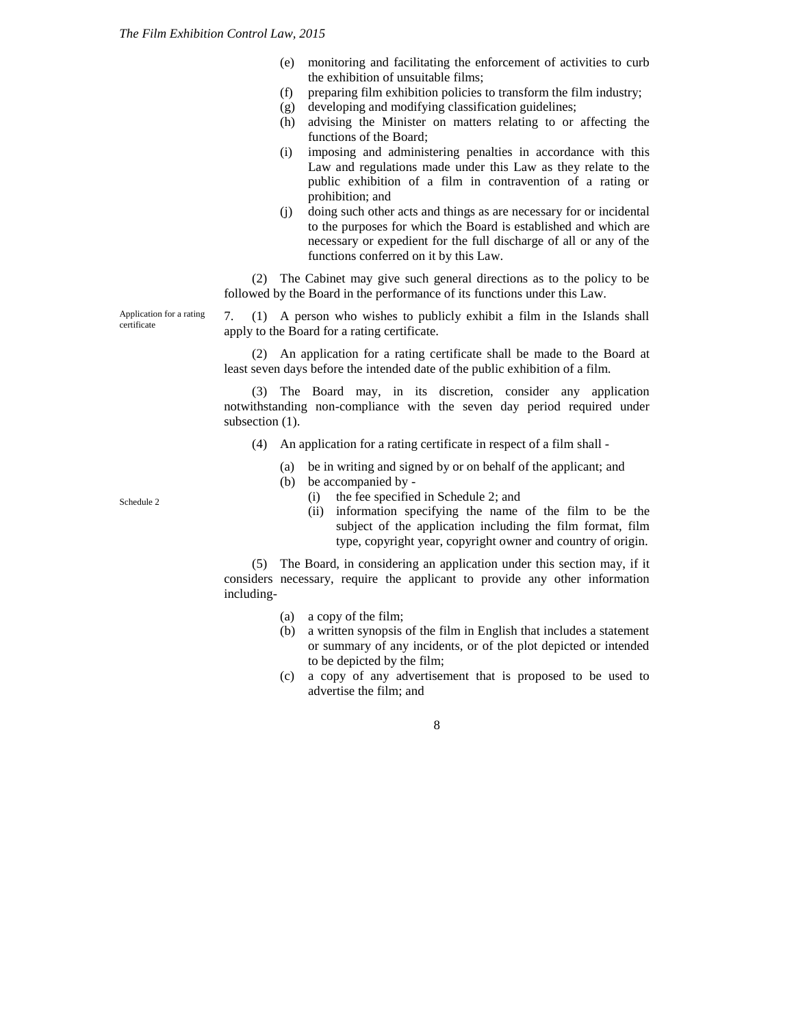- (e) monitoring and facilitating the enforcement of activities to curb the exhibition of unsuitable films;
- (f) preparing film exhibition policies to transform the film industry;
- (g) developing and modifying classification guidelines;
- (h) advising the Minister on matters relating to or affecting the functions of the Board;
- (i) imposing and administering penalties in accordance with this Law and regulations made under this Law as they relate to the public exhibition of a film in contravention of a rating or prohibition; and
- (j) doing such other acts and things as are necessary for or incidental to the purposes for which the Board is established and which are necessary or expedient for the full discharge of all or any of the functions conferred on it by this Law.

(2) The Cabinet may give such general directions as to the policy to be followed by the Board in the performance of its functions under this Law.

Application for a rating certificate

7. (1) A person who wishes to publicly exhibit a film in the Islands shall apply to the Board for a rating certificate.

(2) An application for a rating certificate shall be made to the Board at least seven days before the intended date of the public exhibition of a film.

(3) The Board may, in its discretion, consider any application notwithstanding non-compliance with the seven day period required under subsection  $(1)$ .

(4) An application for a rating certificate in respect of a film shall -

- (a) be in writing and signed by or on behalf of the applicant; and
- (b) be accompanied by
	- (i) the fee specified in Schedule 2; and
	- (ii) information specifying the name of the film to be the subject of the application including the film format, film type, copyright year, copyright owner and country of origin.

(5) The Board, in considering an application under this section may, if it considers necessary, require the applicant to provide any other information including-

- (a) a copy of the film;
- (b) a written synopsis of the film in English that includes a statement or summary of any incidents, or of the plot depicted or intended to be depicted by the film;
- (c) a copy of any advertisement that is proposed to be used to advertise the film; and

8

Schedule 2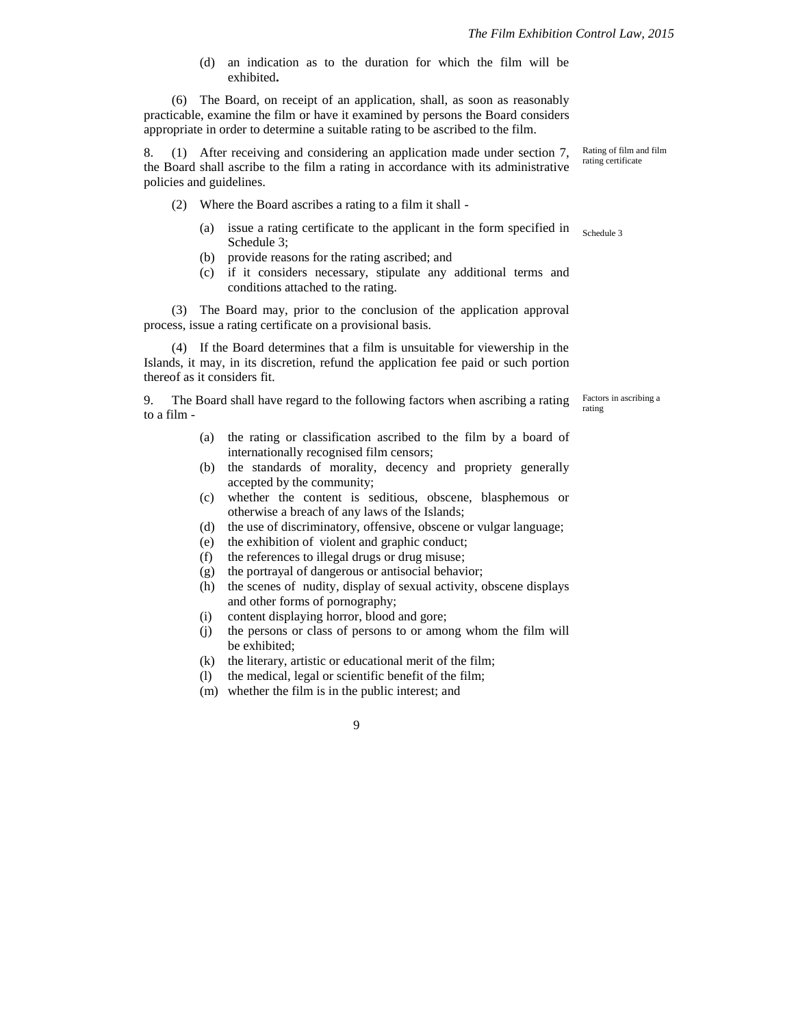(d) an indication as to the duration for which the film will be exhibited**.**

(6) The Board, on receipt of an application, shall, as soon as reasonably practicable, examine the film or have it examined by persons the Board considers appropriate in order to determine a suitable rating to be ascribed to the film.

8. (1) After receiving and considering an application made under section 7, the Board shall ascribe to the film a rating in accordance with its administrative policies and guidelines.

- (2) Where the Board ascribes a rating to a film it shall
	- (a) issue a rating certificate to the applicant in the form specified in Schedule 3 Schedule 3;
	- (b) provide reasons for the rating ascribed; and
	- (c) if it considers necessary, stipulate any additional terms and conditions attached to the rating.

(3) The Board may, prior to the conclusion of the application approval process, issue a rating certificate on a provisional basis.

(4) If the Board determines that a film is unsuitable for viewership in the Islands, it may, in its discretion, refund the application fee paid or such portion thereof as it considers fit.

9. The Board shall have regard to the following factors when ascribing a rating to a film -

- (a) the rating or classification ascribed to the film by a board of internationally recognised film censors;
- (b) the standards of morality, decency and propriety generally accepted by the community;
- (c) whether the content is seditious, obscene, blasphemous or otherwise a breach of any laws of the Islands;
- (d) the use of discriminatory, offensive, obscene or vulgar language;
- (e) the exhibition of violent and graphic conduct;
- (f) the references to illegal drugs or drug misuse;
- (g) the portrayal of dangerous or antisocial behavior;
- (h) the scenes of nudity, display of sexual activity, obscene displays and other forms of pornography;
- (i) content displaying horror, blood and gore;
- (j) the persons or class of persons to or among whom the film will be exhibited;
- (k) the literary, artistic or educational merit of the film;
- (l) the medical, legal or scientific benefit of the film;
- (m) whether the film is in the public interest; and

9

Rating of film and film rating certificate

Factors in ascribing a rating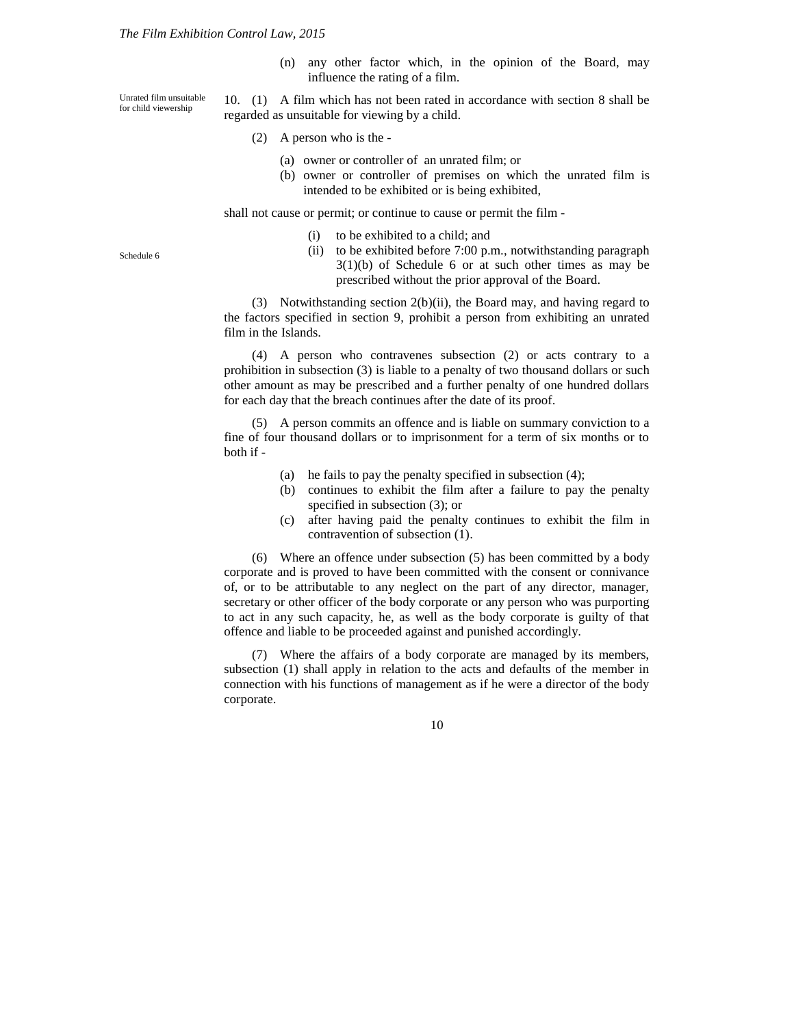(n) any other factor which, in the opinion of the Board, may influence the rating of a film.

Unrated film unsuitable for child viewership

10. (1) A film which has not been rated in accordance with section 8 shall be regarded as unsuitable for viewing by a child.

- (2) A person who is the
	- (a) owner or controller of an unrated film; or
	- (b) owner or controller of premises on which the unrated film is intended to be exhibited or is being exhibited,

shall not cause or permit; or continue to cause or permit the film -

- (i) to be exhibited to a child; and
- (ii) to be exhibited before 7:00 p.m., notwithstanding paragraph 3(1)(b) of Schedule 6 or at such other times as may be prescribed without the prior approval of the Board.

(3) Notwithstanding section 2(b)(ii), the Board may, and having regard to the factors specified in section 9, prohibit a person from exhibiting an unrated film in the Islands.

(4) A person who contravenes subsection (2) or acts contrary to a prohibition in subsection (3) is liable to a penalty of two thousand dollars or such other amount as may be prescribed and a further penalty of one hundred dollars for each day that the breach continues after the date of its proof.

(5) A person commits an offence and is liable on summary conviction to a fine of four thousand dollars or to imprisonment for a term of six months or to both if -

- (a) he fails to pay the penalty specified in subsection (4);
- (b) continues to exhibit the film after a failure to pay the penalty specified in subsection (3); or
- (c) after having paid the penalty continues to exhibit the film in contravention of subsection (1).

(6) Where an offence under subsection (5) has been committed by a body corporate and is proved to have been committed with the consent or connivance of, or to be attributable to any neglect on the part of any director, manager, secretary or other officer of the body corporate or any person who was purporting to act in any such capacity, he, as well as the body corporate is guilty of that offence and liable to be proceeded against and punished accordingly.

(7) Where the affairs of a body corporate are managed by its members, subsection (1) shall apply in relation to the acts and defaults of the member in connection with his functions of management as if he were a director of the body corporate.

10

Schedule 6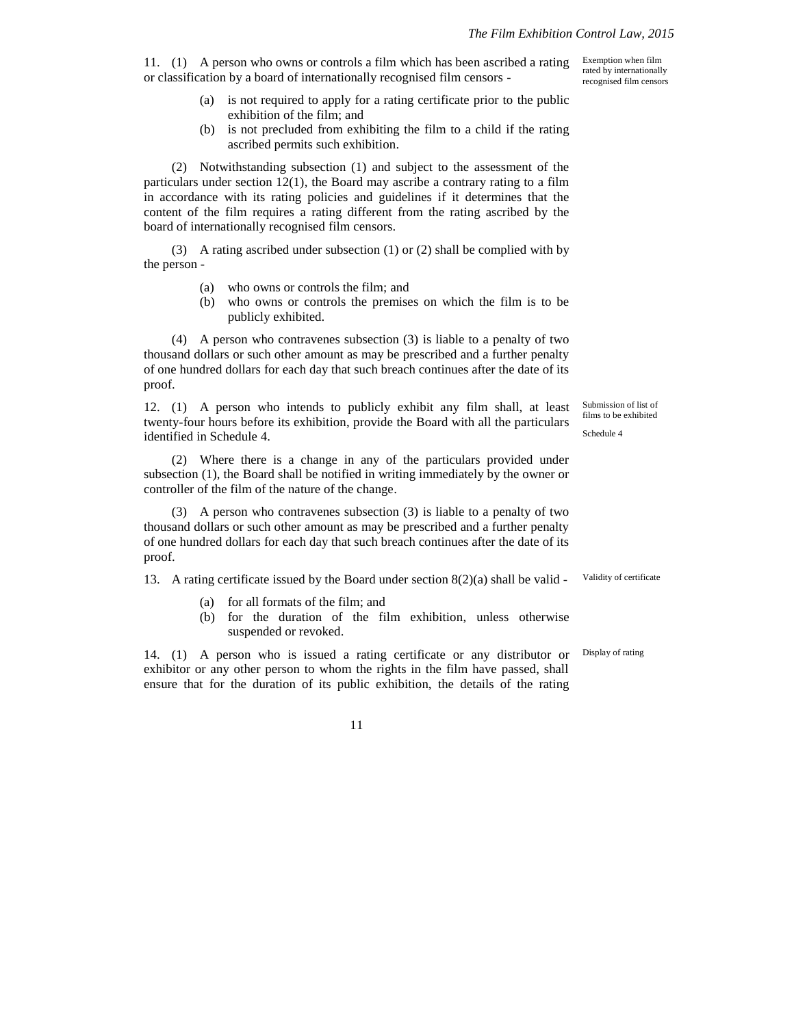Exemption when film rated by internationally recognised film censors

11. (1) A person who owns or controls a film which has been ascribed a rating or classification by a board of internationally recognised film censors -

- (a) is not required to apply for a rating certificate prior to the public exhibition of the film; and
- (b) is not precluded from exhibiting the film to a child if the rating ascribed permits such exhibition.

(2) Notwithstanding subsection (1) and subject to the assessment of the particulars under section 12(1), the Board may ascribe a contrary rating to a film in accordance with its rating policies and guidelines if it determines that the content of the film requires a rating different from the rating ascribed by the board of internationally recognised film censors.

(3) A rating ascribed under subsection (1) or (2) shall be complied with by the person -

- (a) who owns or controls the film; and
- (b) who owns or controls the premises on which the film is to be publicly exhibited.

(4) A person who contravenes subsection (3) is liable to a penalty of two thousand dollars or such other amount as may be prescribed and a further penalty of one hundred dollars for each day that such breach continues after the date of its proof.

12. (1) A person who intends to publicly exhibit any film shall, at least twenty-four hours before its exhibition, provide the Board with all the particulars identified in Schedule 4.

(2) Where there is a change in any of the particulars provided under subsection (1), the Board shall be notified in writing immediately by the owner or controller of the film of the nature of the change.

(3) A person who contravenes subsection (3) is liable to a penalty of two thousand dollars or such other amount as may be prescribed and a further penalty of one hundred dollars for each day that such breach continues after the date of its proof.

13. A rating certificate issued by the Board under section  $8(2)(a)$  shall be valid -

- (a) for all formats of the film; and
- (b) for the duration of the film exhibition, unless otherwise suspended or revoked.

14. (1) A person who is issued a rating certificate or any distributor or exhibitor or any other person to whom the rights in the film have passed, shall ensure that for the duration of its public exhibition, the details of the rating

Submission of list of films to be exhibited Schedule 4

Validity of certificate

Display of rating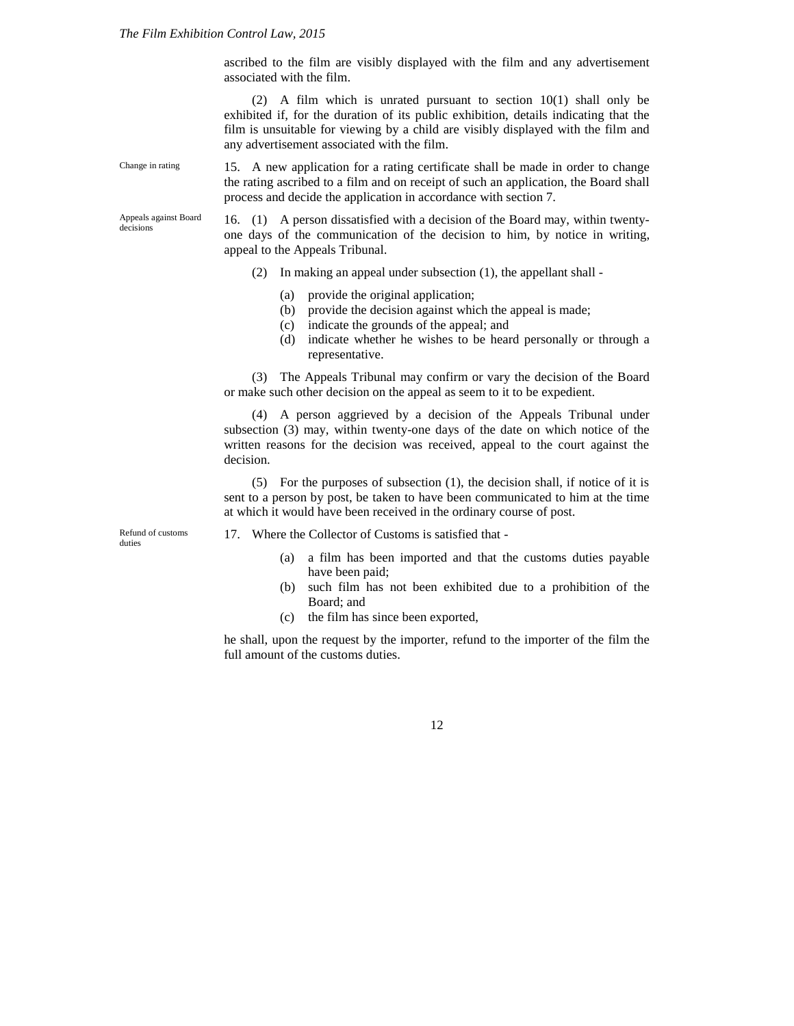ascribed to the film are visibly displayed with the film and any advertisement associated with the film.

(2) A film which is unrated pursuant to section 10(1) shall only be exhibited if, for the duration of its public exhibition, details indicating that the film is unsuitable for viewing by a child are visibly displayed with the film and any advertisement associated with the film.

15. A new application for a rating certificate shall be made in order to change the rating ascribed to a film and on receipt of such an application, the Board shall process and decide the application in accordance with section 7. Change in rating

16. (1) A person dissatisfied with a decision of the Board may, within twentyone days of the communication of the decision to him, by notice in writing, appeal to the Appeals Tribunal. Appeals against Board decisions

(2) In making an appeal under subsection (1), the appellant shall -

- (a) provide the original application;
- (b) provide the decision against which the appeal is made;
- (c) indicate the grounds of the appeal; and
- (d) indicate whether he wishes to be heard personally or through a representative.

(3) The Appeals Tribunal may confirm or vary the decision of the Board or make such other decision on the appeal as seem to it to be expedient.

(4) A person aggrieved by a decision of the Appeals Tribunal under subsection (3) may, within twenty-one days of the date on which notice of the written reasons for the decision was received, appeal to the court against the decision.

(5) For the purposes of subsection (1), the decision shall, if notice of it is sent to a person by post, be taken to have been communicated to him at the time at which it would have been received in the ordinary course of post.

Refund of customs duties

17. Where the Collector of Customs is satisfied that -

- (a) a film has been imported and that the customs duties payable have been paid;
- (b) such film has not been exhibited due to a prohibition of the Board; and
- (c) the film has since been exported,

he shall, upon the request by the importer, refund to the importer of the film the full amount of the customs duties.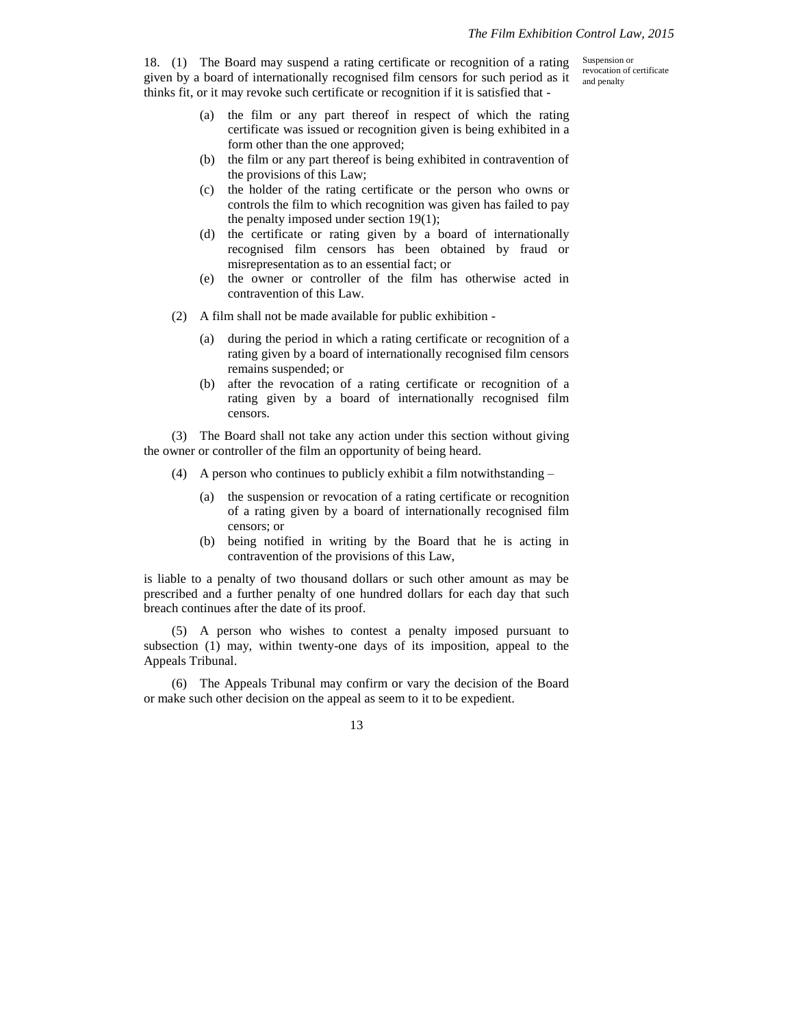18. (1) The Board may suspend a rating certificate or recognition of a rating given by a board of internationally recognised film censors for such period as it thinks fit, or it may revoke such certificate or recognition if it is satisfied that -

Suspension or revocation of certificate and penalty

- (a) the film or any part thereof in respect of which the rating certificate was issued or recognition given is being exhibited in a form other than the one approved;
- (b) the film or any part thereof is being exhibited in contravention of the provisions of this Law;
- (c) the holder of the rating certificate or the person who owns or controls the film to which recognition was given has failed to pay the penalty imposed under section 19(1);
- (d) the certificate or rating given by a board of internationally recognised film censors has been obtained by fraud or misrepresentation as to an essential fact; or
- (e) the owner or controller of the film has otherwise acted in contravention of this Law.
- (2) A film shall not be made available for public exhibition
	- (a) during the period in which a rating certificate or recognition of a rating given by a board of internationally recognised film censors remains suspended; or
	- (b) after the revocation of a rating certificate or recognition of a rating given by a board of internationally recognised film censors.

(3) The Board shall not take any action under this section without giving the owner or controller of the film an opportunity of being heard.

- (4) A person who continues to publicly exhibit a film notwithstanding
	- (a) the suspension or revocation of a rating certificate or recognition of a rating given by a board of internationally recognised film censors; or
	- (b) being notified in writing by the Board that he is acting in contravention of the provisions of this Law,

is liable to a penalty of two thousand dollars or such other amount as may be prescribed and a further penalty of one hundred dollars for each day that such breach continues after the date of its proof.

(5) A person who wishes to contest a penalty imposed pursuant to subsection (1) may, within twenty-one days of its imposition, appeal to the Appeals Tribunal.

(6) The Appeals Tribunal may confirm or vary the decision of the Board or make such other decision on the appeal as seem to it to be expedient.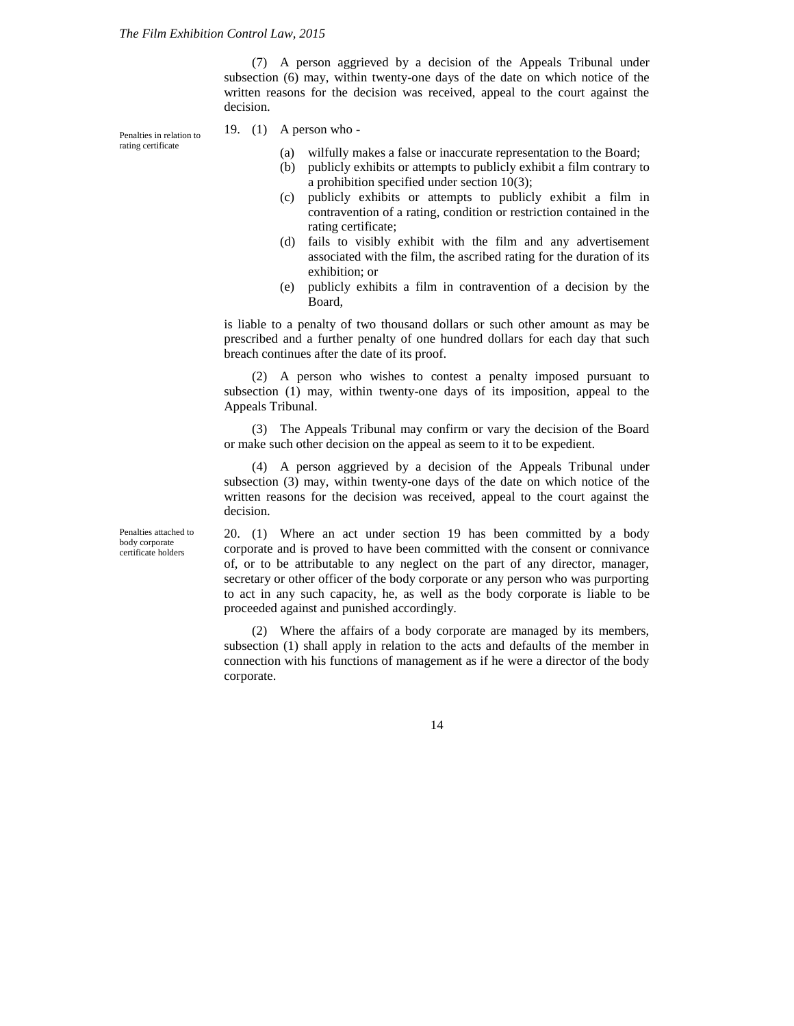(7) A person aggrieved by a decision of the Appeals Tribunal under subsection (6) may, within twenty-one days of the date on which notice of the written reasons for the decision was received, appeal to the court against the decision.

Penalties in relation to rating certificate

- 19. (1) A person who
	- (a) wilfully makes a false or inaccurate representation to the Board;
	- (b) publicly exhibits or attempts to publicly exhibit a film contrary to a prohibition specified under section 10(3);
	- (c) publicly exhibits or attempts to publicly exhibit a film in contravention of a rating, condition or restriction contained in the rating certificate;
	- (d) fails to visibly exhibit with the film and any advertisement associated with the film, the ascribed rating for the duration of its exhibition; or
	- (e) publicly exhibits a film in contravention of a decision by the Board,

is liable to a penalty of two thousand dollars or such other amount as may be prescribed and a further penalty of one hundred dollars for each day that such breach continues after the date of its proof.

(2) A person who wishes to contest a penalty imposed pursuant to subsection (1) may, within twenty-one days of its imposition, appeal to the Appeals Tribunal.

(3) The Appeals Tribunal may confirm or vary the decision of the Board or make such other decision on the appeal as seem to it to be expedient.

(4) A person aggrieved by a decision of the Appeals Tribunal under subsection (3) may, within twenty-one days of the date on which notice of the written reasons for the decision was received, appeal to the court against the decision.

Penalties attached to body corporate certificate holders

20. (1) Where an act under section 19 has been committed by a body corporate and is proved to have been committed with the consent or connivance of, or to be attributable to any neglect on the part of any director, manager, secretary or other officer of the body corporate or any person who was purporting to act in any such capacity, he, as well as the body corporate is liable to be proceeded against and punished accordingly.

(2) Where the affairs of a body corporate are managed by its members, subsection (1) shall apply in relation to the acts and defaults of the member in connection with his functions of management as if he were a director of the body corporate.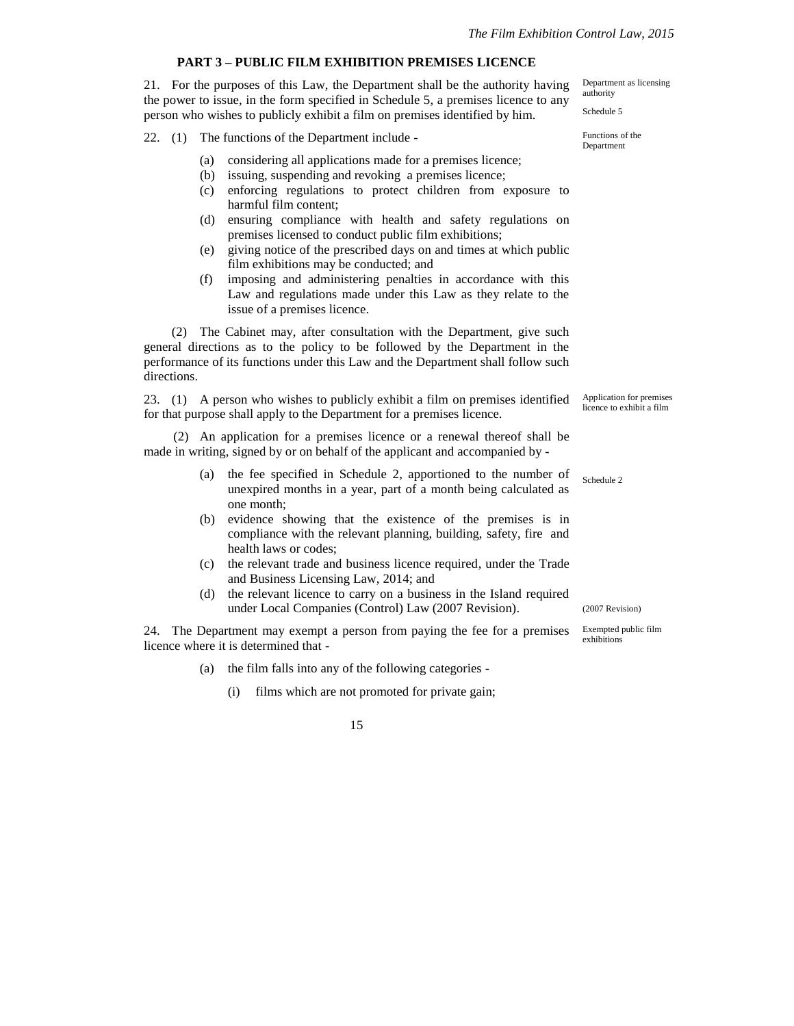## **PART 3 – PUBLIC FILM EXHIBITION PREMISES LICENCE**

21. For the purposes of this Law, the Department shall be the authority having the power to issue, in the form specified in Schedule 5, a premises licence to any person who wishes to publicly exhibit a film on premises identified by him.

22. (1) The functions of the Department include -

- (a) considering all applications made for a premises licence;
- (b) issuing, suspending and revoking a premises licence;
- (c) enforcing regulations to protect children from exposure to harmful film content;
- (d) ensuring compliance with health and safety regulations on premises licensed to conduct public film exhibitions;
- (e) giving notice of the prescribed days on and times at which public film exhibitions may be conducted; and
- (f) imposing and administering penalties in accordance with this Law and regulations made under this Law as they relate to the issue of a premises licence.

(2) The Cabinet may, after consultation with the Department, give such general directions as to the policy to be followed by the Department in the performance of its functions under this Law and the Department shall follow such directions.

23. (1) A person who wishes to publicly exhibit a film on premises identified for that purpose shall apply to the Department for a premises licence.

(2) An application for a premises licence or a renewal thereof shall be made in writing, signed by or on behalf of the applicant and accompanied by -

- (a) the fee specified in Schedule 2, apportioned to the number of unexpired months in a year, part of a month being calculated as one month;
- (b) evidence showing that the existence of the premises is in compliance with the relevant planning, building, safety, fire and health laws or codes;
- (c) the relevant trade and business licence required, under the Trade and Business Licensing Law, 2014; and
- (d) the relevant licence to carry on a business in the Island required under Local Companies (Control) Law (2007 Revision).

24. The Department may exempt a person from paying the fee for a premises licence where it is determined that -

- (a) the film falls into any of the following categories
	- (i) films which are not promoted for private gain;

15

Department as licensing authority Schedule 5

Functions of the Department

Application for premises licence to exhibit a film

Schedule 2

(2007 Revision)

Exempted public film exhibitions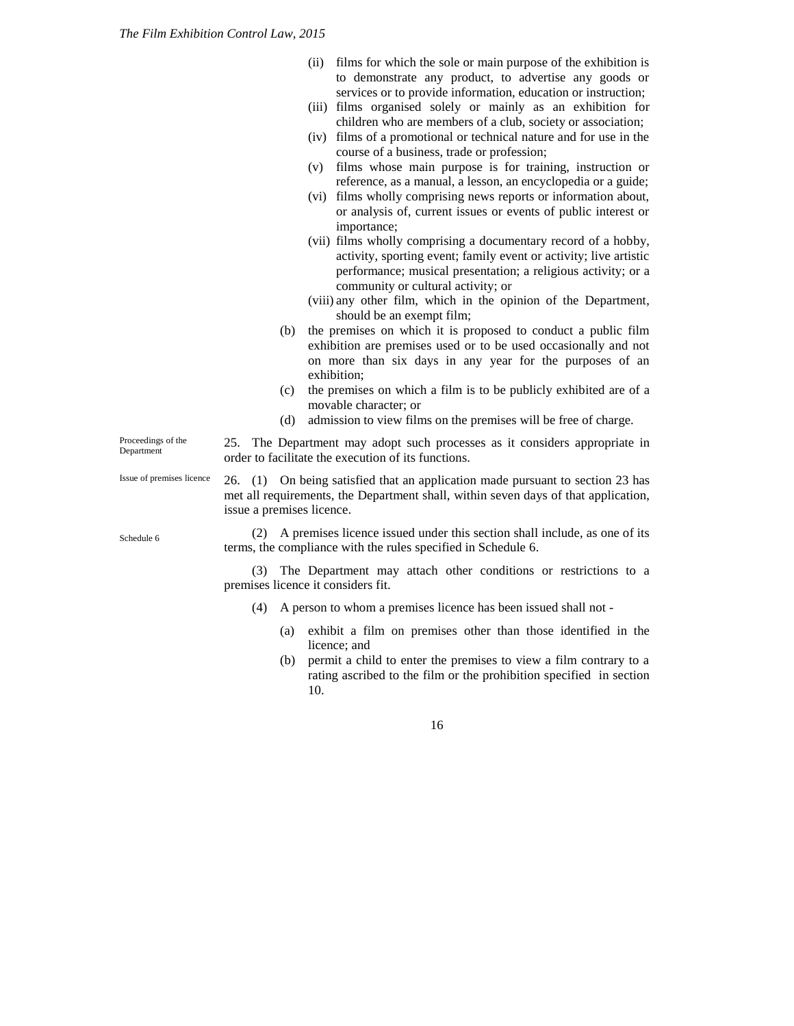| (ii) | films for which the sole or main purpose of the exhibition is |
|------|---------------------------------------------------------------|
|      | to demonstrate any product, to advertise any goods or         |
|      | services or to provide information, education or instruction; |

- (iii) films organised solely or mainly as an exhibition for children who are members of a club, society or association;
- (iv) films of a promotional or technical nature and for use in the course of a business, trade or profession;
- (v) films whose main purpose is for training, instruction or reference, as a manual, a lesson, an encyclopedia or a guide;
- (vi) films wholly comprising news reports or information about, or analysis of, current issues or events of public interest or importance;
- (vii) films wholly comprising a documentary record of a hobby, activity, sporting event; family event or activity; live artistic performance; musical presentation; a religious activity; or a community or cultural activity; or
- (viii) any other film, which in the opinion of the Department, should be an exempt film;
- (b) the premises on which it is proposed to conduct a public film exhibition are premises used or to be used occasionally and not on more than six days in any year for the purposes of an exhibition;
- (c) the premises on which a film is to be publicly exhibited are of a movable character; or
- (d) admission to view films on the premises will be free of charge.

25. The Department may adopt such processes as it considers appropriate in order to facilitate the execution of its functions. Proceedings of the

26. (1) On being satisfied that an application made pursuant to section 23 has met all requirements, the Department shall, within seven days of that application, issue a premises licence. Issue of premises licence

Schedule 6

**Department** 

(2) A premises licence issued under this section shall include, as one of its terms, the compliance with the rules specified in Schedule 6.

(3) The Department may attach other conditions or restrictions to a premises licence it considers fit.

- (4) A person to whom a premises licence has been issued shall not
	- (a) exhibit a film on premises other than those identified in the licence; and
	- (b) permit a child to enter the premises to view a film contrary to a rating ascribed to the film or the prohibition specified in section 10.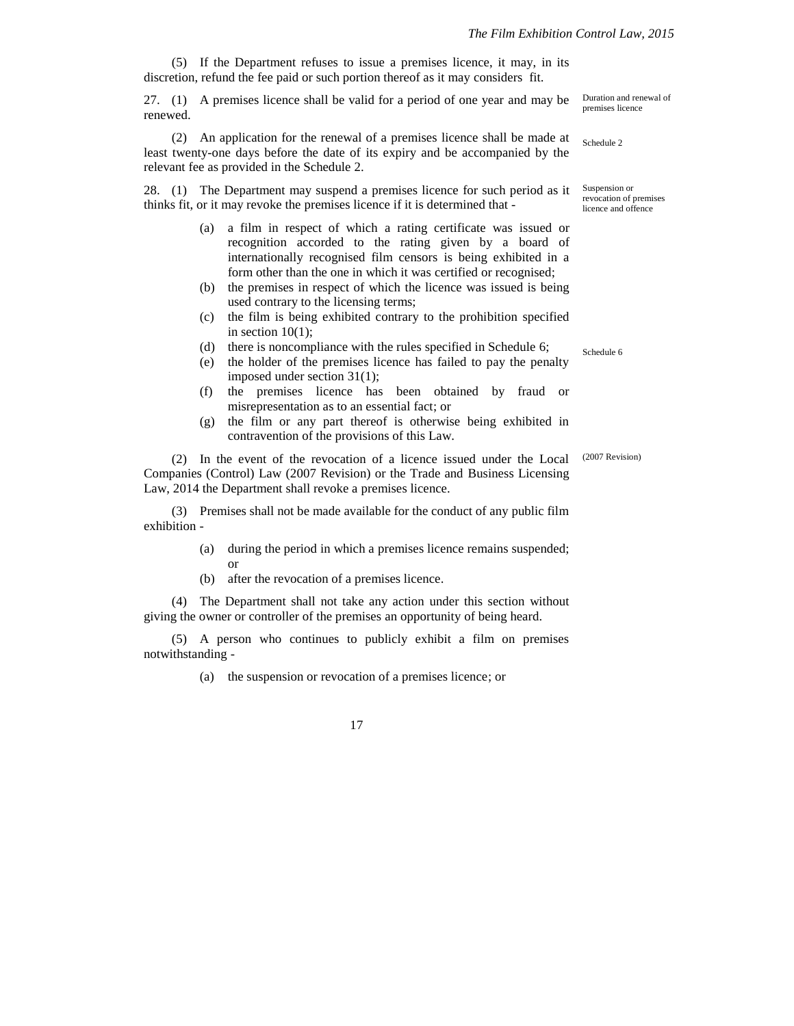(5) If the Department refuses to issue a premises licence, it may, in its discretion, refund the fee paid or such portion thereof as it may considers fit.

27. (1) A premises licence shall be valid for a period of one year and may be renewed.

(2) An application for the renewal of a premises licence shall be made at least twenty-one days before the date of its expiry and be accompanied by the relevant fee as provided in the Schedule 2.

28. (1) The Department may suspend a premises licence for such period as it thinks fit, or it may revoke the premises licence if it is determined that -

- (a) a film in respect of which a rating certificate was issued or recognition accorded to the rating given by a board of internationally recognised film censors is being exhibited in a form other than the one in which it was certified or recognised;
- (b) the premises in respect of which the licence was issued is being used contrary to the licensing terms;
- (c) the film is being exhibited contrary to the prohibition specified in section  $10(1)$ ;
- (d) there is noncompliance with the rules specified in Schedule 6;
- (e) the holder of the premises licence has failed to pay the penalty imposed under section 31(1);
- (f) the premises licence has been obtained by fraud or misrepresentation as to an essential fact; or
- (g) the film or any part thereof is otherwise being exhibited in contravention of the provisions of this Law.

(2) In the event of the revocation of a licence issued under the Local Companies (Control) Law (2007 Revision) or the Trade and Business Licensing Law, 2014 the Department shall revoke a premises licence.

(3) Premises shall not be made available for the conduct of any public film exhibition -

- (a) during the period in which a premises licence remains suspended; or
- (b) after the revocation of a premises licence.

(4) The Department shall not take any action under this section without giving the owner or controller of the premises an opportunity of being heard.

(5) A person who continues to publicly exhibit a film on premises notwithstanding -

(a) the suspension or revocation of a premises licence; or

17

Duration and renewal of premises licence

Schedule 2

Suspension or revocation of premises licence and offence

(2007 Revision)

Schedule 6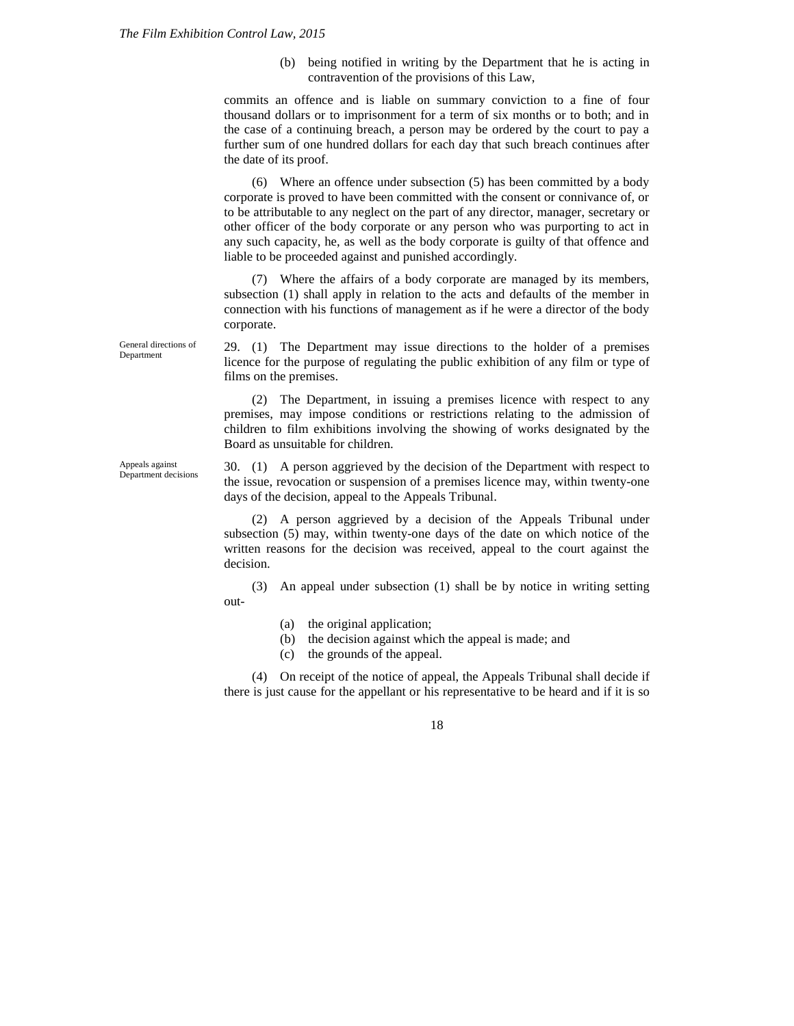(b) being notified in writing by the Department that he is acting in contravention of the provisions of this Law,

commits an offence and is liable on summary conviction to a fine of four thousand dollars or to imprisonment for a term of six months or to both; and in the case of a continuing breach, a person may be ordered by the court to pay a further sum of one hundred dollars for each day that such breach continues after the date of its proof.

(6) Where an offence under subsection (5) has been committed by a body corporate is proved to have been committed with the consent or connivance of, or to be attributable to any neglect on the part of any director, manager, secretary or other officer of the body corporate or any person who was purporting to act in any such capacity, he, as well as the body corporate is guilty of that offence and liable to be proceeded against and punished accordingly.

(7) Where the affairs of a body corporate are managed by its members, subsection (1) shall apply in relation to the acts and defaults of the member in connection with his functions of management as if he were a director of the body corporate.

29. (1) The Department may issue directions to the holder of a premises licence for the purpose of regulating the public exhibition of any film or type of films on the premises.

(2) The Department, in issuing a premises licence with respect to any premises, may impose conditions or restrictions relating to the admission of children to film exhibitions involving the showing of works designated by the Board as unsuitable for children.

30. (1) A person aggrieved by the decision of the Department with respect to the issue, revocation or suspension of a premises licence may, within twenty-one days of the decision, appeal to the Appeals Tribunal.

(2) A person aggrieved by a decision of the Appeals Tribunal under subsection (5) may, within twenty-one days of the date on which notice of the written reasons for the decision was received, appeal to the court against the decision.

(3) An appeal under subsection (1) shall be by notice in writing setting out-

- (a) the original application;
- (b) the decision against which the appeal is made; and
- (c) the grounds of the appeal.

(4) On receipt of the notice of appeal, the Appeals Tribunal shall decide if there is just cause for the appellant or his representative to be heard and if it is so

18

General directions of Department

Appeals against Department decisions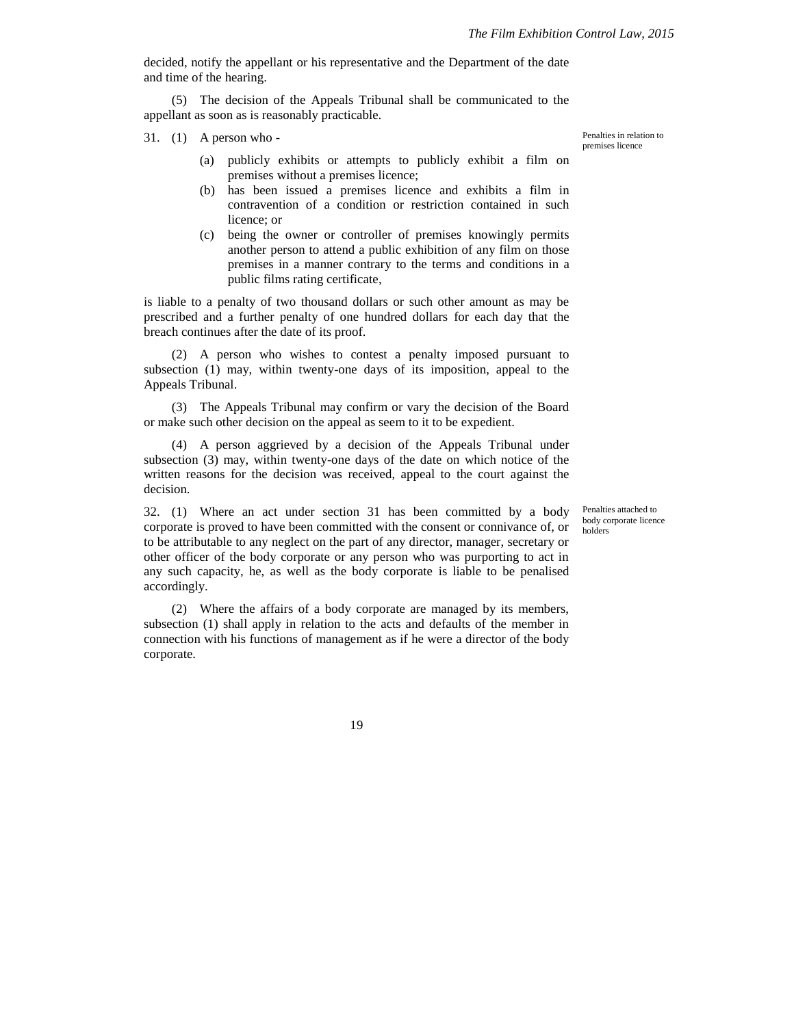decided, notify the appellant or his representative and the Department of the date and time of the hearing.

(5) The decision of the Appeals Tribunal shall be communicated to the appellant as soon as is reasonably practicable.

- 31. (1) A person who
	- (a) publicly exhibits or attempts to publicly exhibit a film on premises without a premises licence;
	- (b) has been issued a premises licence and exhibits a film in contravention of a condition or restriction contained in such licence; or
	- (c) being the owner or controller of premises knowingly permits another person to attend a public exhibition of any film on those premises in a manner contrary to the terms and conditions in a public films rating certificate,

is liable to a penalty of two thousand dollars or such other amount as may be prescribed and a further penalty of one hundred dollars for each day that the breach continues after the date of its proof.

(2) A person who wishes to contest a penalty imposed pursuant to subsection (1) may, within twenty-one days of its imposition, appeal to the Appeals Tribunal.

(3) The Appeals Tribunal may confirm or vary the decision of the Board or make such other decision on the appeal as seem to it to be expedient.

(4) A person aggrieved by a decision of the Appeals Tribunal under subsection (3) may, within twenty-one days of the date on which notice of the written reasons for the decision was received, appeal to the court against the decision.

32. (1) Where an act under section 31 has been committed by a body corporate is proved to have been committed with the consent or connivance of, or to be attributable to any neglect on the part of any director, manager, secretary or other officer of the body corporate or any person who was purporting to act in any such capacity, he, as well as the body corporate is liable to be penalised accordingly.

(2) Where the affairs of a body corporate are managed by its members, subsection (1) shall apply in relation to the acts and defaults of the member in connection with his functions of management as if he were a director of the body corporate.

Penalties attached to body corporate licence holders

Penalties in relation to premises licence

19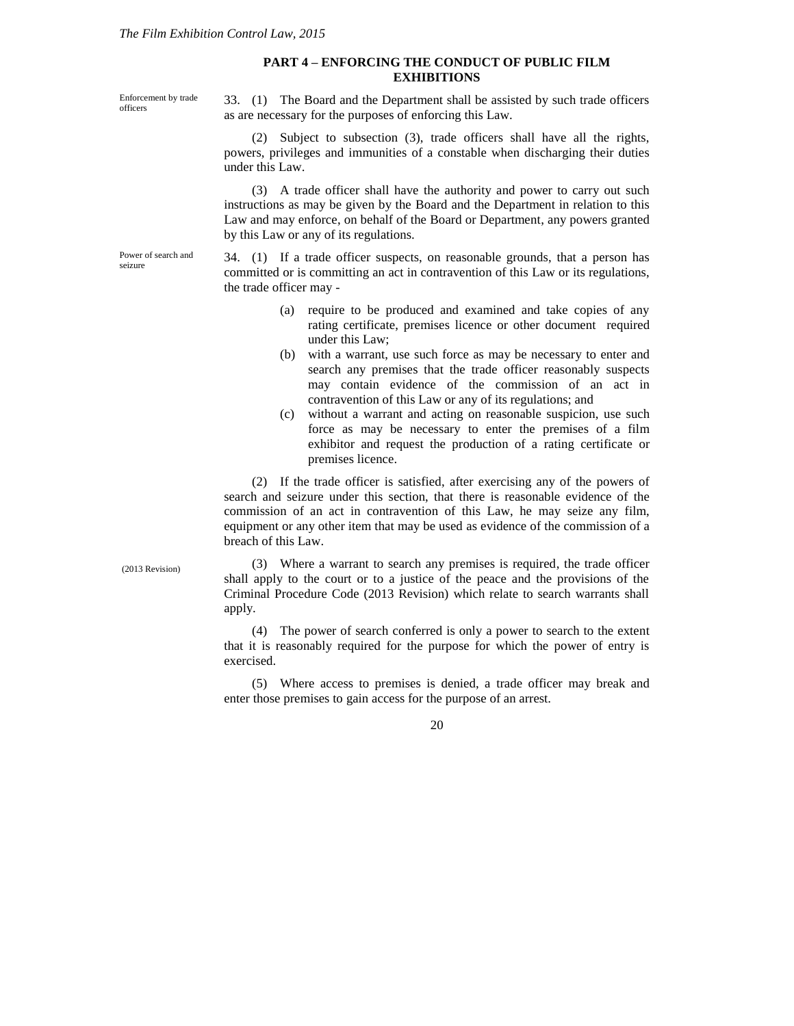## **PART 4 – ENFORCING THE CONDUCT OF PUBLIC FILM EXHIBITIONS**

Enforcement by trade officers

33. (1) The Board and the Department shall be assisted by such trade officers as are necessary for the purposes of enforcing this Law.

(2) Subject to subsection (3), trade officers shall have all the rights, powers, privileges and immunities of a constable when discharging their duties under this Law.

(3) A trade officer shall have the authority and power to carry out such instructions as may be given by the Board and the Department in relation to this Law and may enforce, on behalf of the Board or Department, any powers granted by this Law or any of its regulations.

Power of search and seizure

34. (1) If a trade officer suspects, on reasonable grounds, that a person has committed or is committing an act in contravention of this Law or its regulations, the trade officer may -

- (a) require to be produced and examined and take copies of any rating certificate, premises licence or other document required under this Law;
- (b) with a warrant, use such force as may be necessary to enter and search any premises that the trade officer reasonably suspects may contain evidence of the commission of an act in contravention of this Law or any of its regulations; and
- (c) without a warrant and acting on reasonable suspicion, use such force as may be necessary to enter the premises of a film exhibitor and request the production of a rating certificate or premises licence.

(2) If the trade officer is satisfied, after exercising any of the powers of search and seizure under this section, that there is reasonable evidence of the commission of an act in contravention of this Law, he may seize any film, equipment or any other item that may be used as evidence of the commission of a breach of this Law.

(2013 Revision)

(3) Where a warrant to search any premises is required, the trade officer shall apply to the court or to a justice of the peace and the provisions of the Criminal Procedure Code (2013 Revision) which relate to search warrants shall apply.

(4) The power of search conferred is only a power to search to the extent that it is reasonably required for the purpose for which the power of entry is exercised.

(5) Where access to premises is denied, a trade officer may break and enter those premises to gain access for the purpose of an arrest.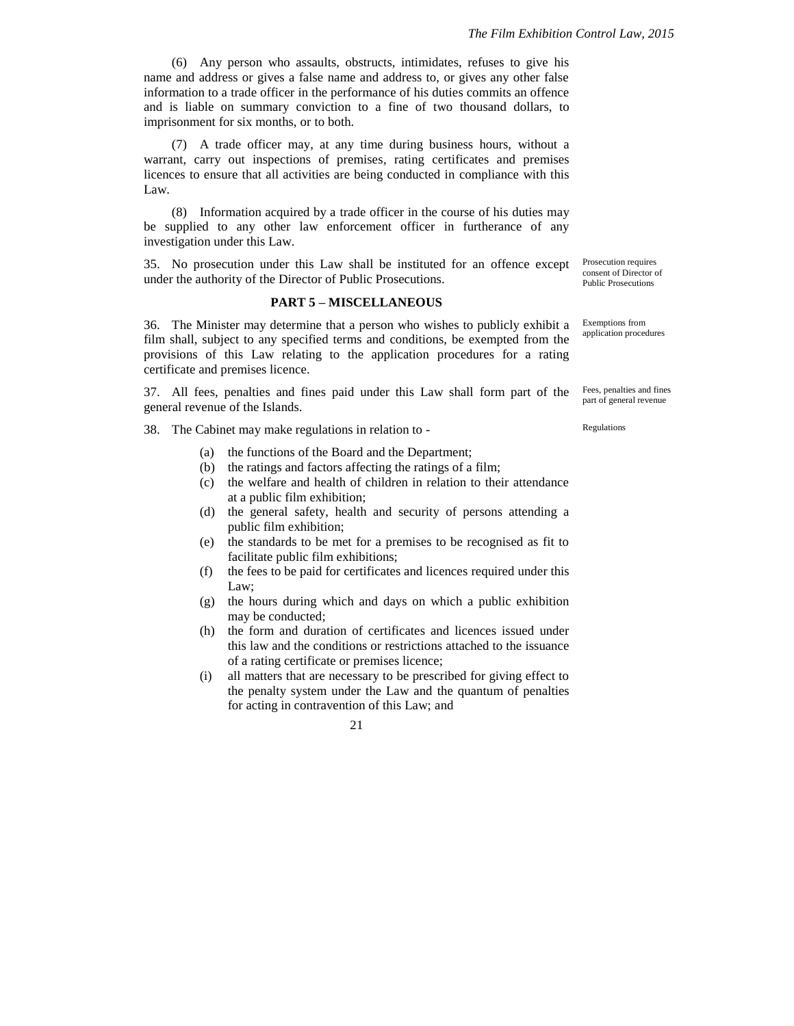(6) Any person who assaults, obstructs, intimidates, refuses to give his name and address or gives a false name and address to, or gives any other false information to a trade officer in the performance of his duties commits an offence and is liable on summary conviction to a fine of two thousand dollars, to imprisonment for six months, or to both.

(7) A trade officer may, at any time during business hours, without a warrant, carry out inspections of premises, rating certificates and premises licences to ensure that all activities are being conducted in compliance with this Law.

(8) Information acquired by a trade officer in the course of his duties may be supplied to any other law enforcement officer in furtherance of any investigation under this Law.

35. No prosecution under this Law shall be instituted for an offence except under the authority of the Director of Public Prosecutions.

#### **PART 5 – MISCELLANEOUS**

36. The Minister may determine that a person who wishes to publicly exhibit a film shall, subject to any specified terms and conditions, be exempted from the provisions of this Law relating to the application procedures for a rating certificate and premises licence.

37. All fees, penalties and fines paid under this Law shall form part of the general revenue of the Islands.

38. The Cabinet may make regulations in relation to -

- (a) the functions of the Board and the Department;
- (b) the ratings and factors affecting the ratings of a film;
- (c) the welfare and health of children in relation to their attendance at a public film exhibition;
- (d) the general safety, health and security of persons attending a public film exhibition;
- (e) the standards to be met for a premises to be recognised as fit to facilitate public film exhibitions;
- (f) the fees to be paid for certificates and licences required under this Law;
- (g) the hours during which and days on which a public exhibition may be conducted;
- (h) the form and duration of certificates and licences issued under this law and the conditions or restrictions attached to the issuance of a rating certificate or premises licence;
- (i) all matters that are necessary to be prescribed for giving effect to the penalty system under the Law and the quantum of penalties for acting in contravention of this Law; and

21

Prosecution requires consent of Director of Public Prosecutions

Exemptions from application procedures

Fees, penalties and fines part of general revenue

Regulations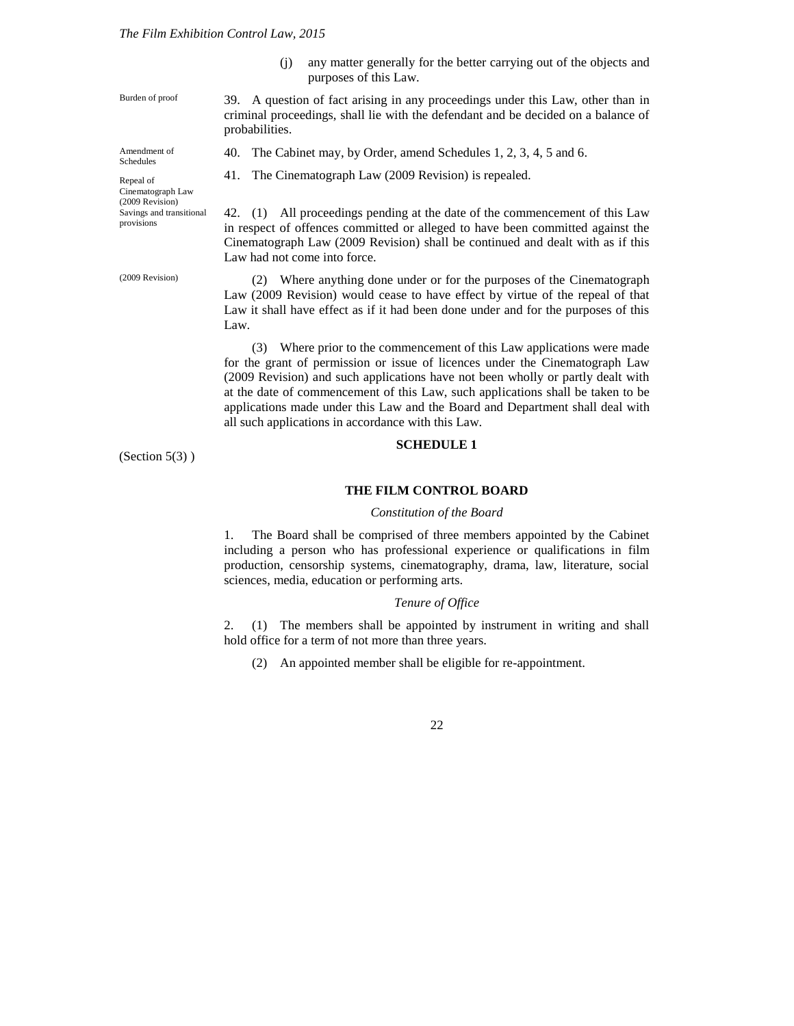#### *The Film Exhibition Control Law, 2015*

probabilities.

(j) any matter generally for the better carrying out of the objects and purposes of this Law.

39. A question of fact arising in any proceedings under this Law, other than in Burden of proof

Amendment of Schedules

Repeal of Cinematograph Law (2009 Revision) Savings and transitional provisions

(2009 Revision)

(Section  $5(3)$ )

40. The Cabinet may, by Order, amend Schedules 1, 2, 3, 4, 5 and 6.

41. The Cinematograph Law (2009 Revision) is repealed.

42. (1) All proceedings pending at the date of the commencement of this Law in respect of offences committed or alleged to have been committed against the Cinematograph Law (2009 Revision) shall be continued and dealt with as if this Law had not come into force.

criminal proceedings, shall lie with the defendant and be decided on a balance of

(2) Where anything done under or for the purposes of the Cinematograph Law (2009 Revision) would cease to have effect by virtue of the repeal of that Law it shall have effect as if it had been done under and for the purposes of this Law.

(3) Where prior to the commencement of this Law applications were made for the grant of permission or issue of licences under the Cinematograph Law (2009 Revision) and such applications have not been wholly or partly dealt with at the date of commencement of this Law, such applications shall be taken to be applications made under this Law and the Board and Department shall deal with all such applications in accordance with this Law.

#### **SCHEDULE 1**

### **THE FILM CONTROL BOARD**

#### *Constitution of the Board*

1. The Board shall be comprised of three members appointed by the Cabinet including a person who has professional experience or qualifications in film production, censorship systems, cinematography, drama, law, literature, social sciences, media, education or performing arts.

## *Tenure of Office*

2. (1) The members shall be appointed by instrument in writing and shall hold office for a term of not more than three years.

(2) An appointed member shall be eligible for re-appointment.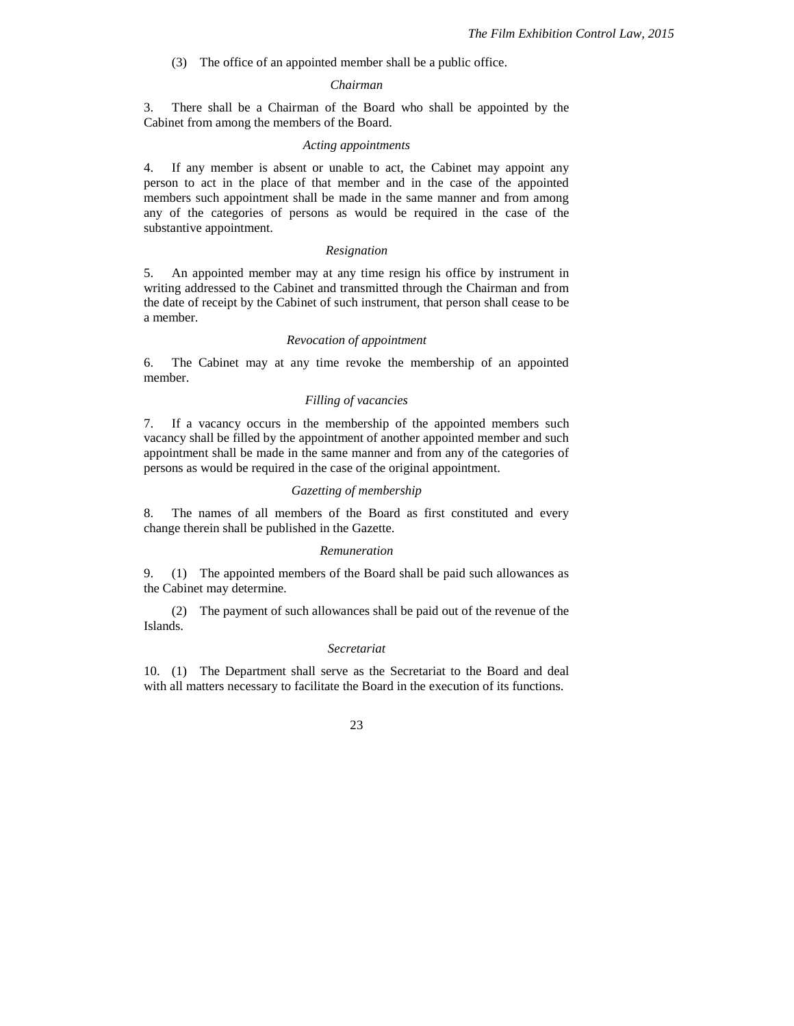(3) The office of an appointed member shall be a public office.

### *Chairman*

3. There shall be a Chairman of the Board who shall be appointed by the Cabinet from among the members of the Board.

#### *Acting appointments*

4. If any member is absent or unable to act, the Cabinet may appoint any person to act in the place of that member and in the case of the appointed members such appointment shall be made in the same manner and from among any of the categories of persons as would be required in the case of the substantive appointment.

#### *Resignation*

5. An appointed member may at any time resign his office by instrument in writing addressed to the Cabinet and transmitted through the Chairman and from the date of receipt by the Cabinet of such instrument, that person shall cease to be a member.

#### *Revocation of appointment*

6. The Cabinet may at any time revoke the membership of an appointed member.

### *Filling of vacancies*

7. If a vacancy occurs in the membership of the appointed members such vacancy shall be filled by the appointment of another appointed member and such appointment shall be made in the same manner and from any of the categories of persons as would be required in the case of the original appointment.

### *Gazetting of membership*

8. The names of all members of the Board as first constituted and every change therein shall be published in the Gazette.

#### *Remuneration*

9. (1) The appointed members of the Board shall be paid such allowances as the Cabinet may determine.

(2) The payment of such allowances shall be paid out of the revenue of the Islands.

#### *Secretariat*

10. (1) The Department shall serve as the Secretariat to the Board and deal with all matters necessary to facilitate the Board in the execution of its functions.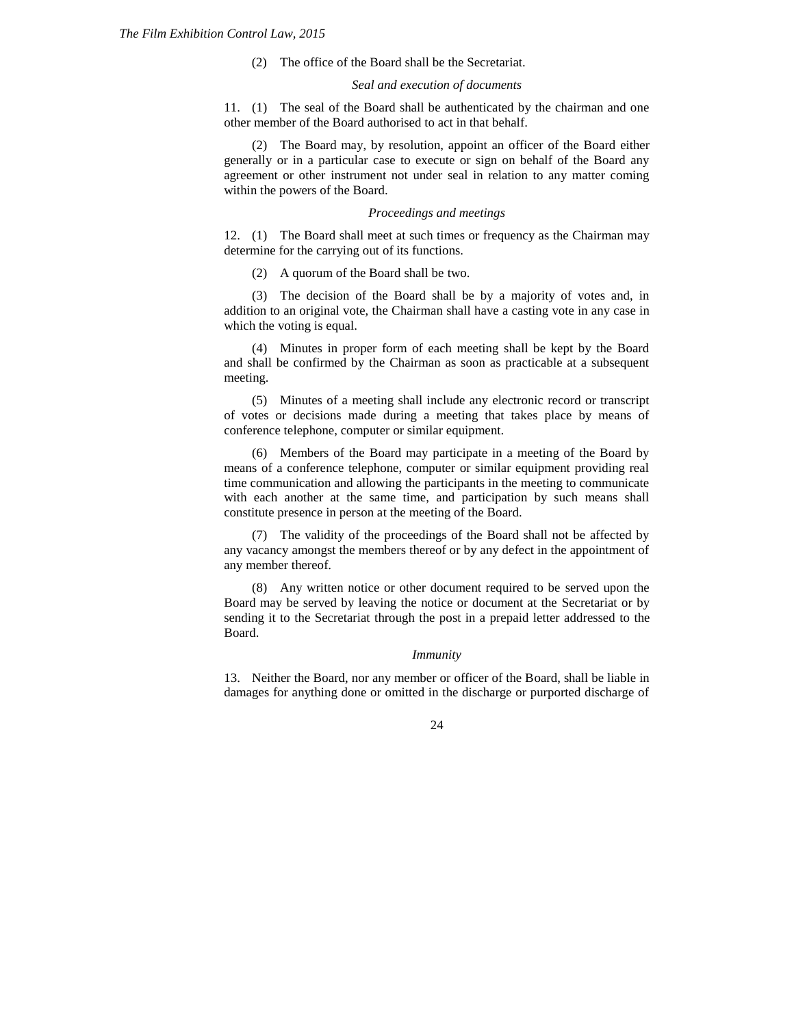(2) The office of the Board shall be the Secretariat.

#### *Seal and execution of documents*

11. (1) The seal of the Board shall be authenticated by the chairman and one other member of the Board authorised to act in that behalf.

(2) The Board may, by resolution, appoint an officer of the Board either generally or in a particular case to execute or sign on behalf of the Board any agreement or other instrument not under seal in relation to any matter coming within the powers of the Board.

#### *Proceedings and meetings*

12. (1) The Board shall meet at such times or frequency as the Chairman may determine for the carrying out of its functions.

(2) A quorum of the Board shall be two.

(3) The decision of the Board shall be by a majority of votes and, in addition to an original vote, the Chairman shall have a casting vote in any case in which the voting is equal.

(4) Minutes in proper form of each meeting shall be kept by the Board and shall be confirmed by the Chairman as soon as practicable at a subsequent meeting.

(5) Minutes of a meeting shall include any electronic record or transcript of votes or decisions made during a meeting that takes place by means of conference telephone, computer or similar equipment.

(6) Members of the Board may participate in a meeting of the Board by means of a conference telephone, computer or similar equipment providing real time communication and allowing the participants in the meeting to communicate with each another at the same time, and participation by such means shall constitute presence in person at the meeting of the Board.

(7) The validity of the proceedings of the Board shall not be affected by any vacancy amongst the members thereof or by any defect in the appointment of any member thereof.

(8) Any written notice or other document required to be served upon the Board may be served by leaving the notice or document at the Secretariat or by sending it to the Secretariat through the post in a prepaid letter addressed to the Board.

#### *Immunity*

13. Neither the Board, nor any member or officer of the Board, shall be liable in damages for anything done or omitted in the discharge or purported discharge of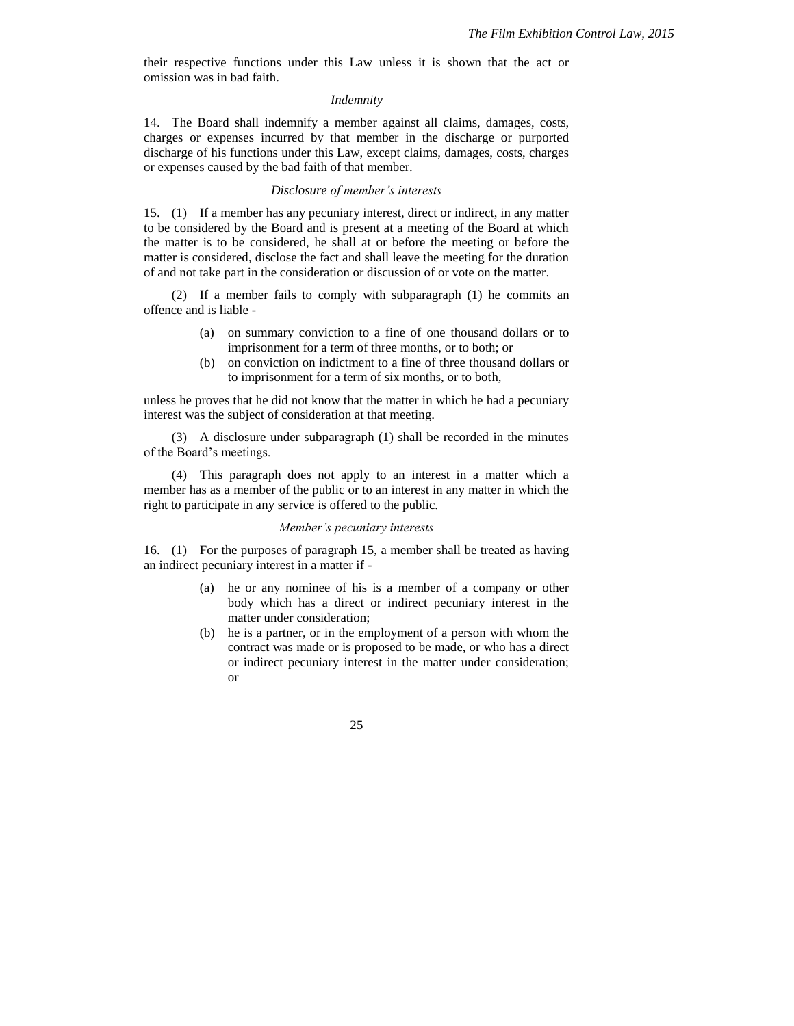their respective functions under this Law unless it is shown that the act or omission was in bad faith.

#### *Indemnity*

14. The Board shall indemnify a member against all claims, damages, costs, charges or expenses incurred by that member in the discharge or purported discharge of his functions under this Law, except claims, damages, costs, charges or expenses caused by the bad faith of that member.

#### *Disclosure of member's interests*

15. (1) If a member has any pecuniary interest, direct or indirect, in any matter to be considered by the Board and is present at a meeting of the Board at which the matter is to be considered, he shall at or before the meeting or before the matter is considered, disclose the fact and shall leave the meeting for the duration of and not take part in the consideration or discussion of or vote on the matter.

(2) If a member fails to comply with subparagraph (1) he commits an offence and is liable -

- (a) on summary conviction to a fine of one thousand dollars or to imprisonment for a term of three months, or to both; or
- (b) on conviction on indictment to a fine of three thousand dollars or to imprisonment for a term of six months, or to both,

unless he proves that he did not know that the matter in which he had a pecuniary interest was the subject of consideration at that meeting.

(3) A disclosure under subparagraph (1) shall be recorded in the minutes of the Board's meetings.

(4) This paragraph does not apply to an interest in a matter which a member has as a member of the public or to an interest in any matter in which the right to participate in any service is offered to the public.

#### *Member's pecuniary interests*

16. (1) For the purposes of paragraph 15, a member shall be treated as having an indirect pecuniary interest in a matter if -

- (a) he or any nominee of his is a member of a company or other body which has a direct or indirect pecuniary interest in the matter under consideration;
- (b) he is a partner, or in the employment of a person with whom the contract was made or is proposed to be made, or who has a direct or indirect pecuniary interest in the matter under consideration; or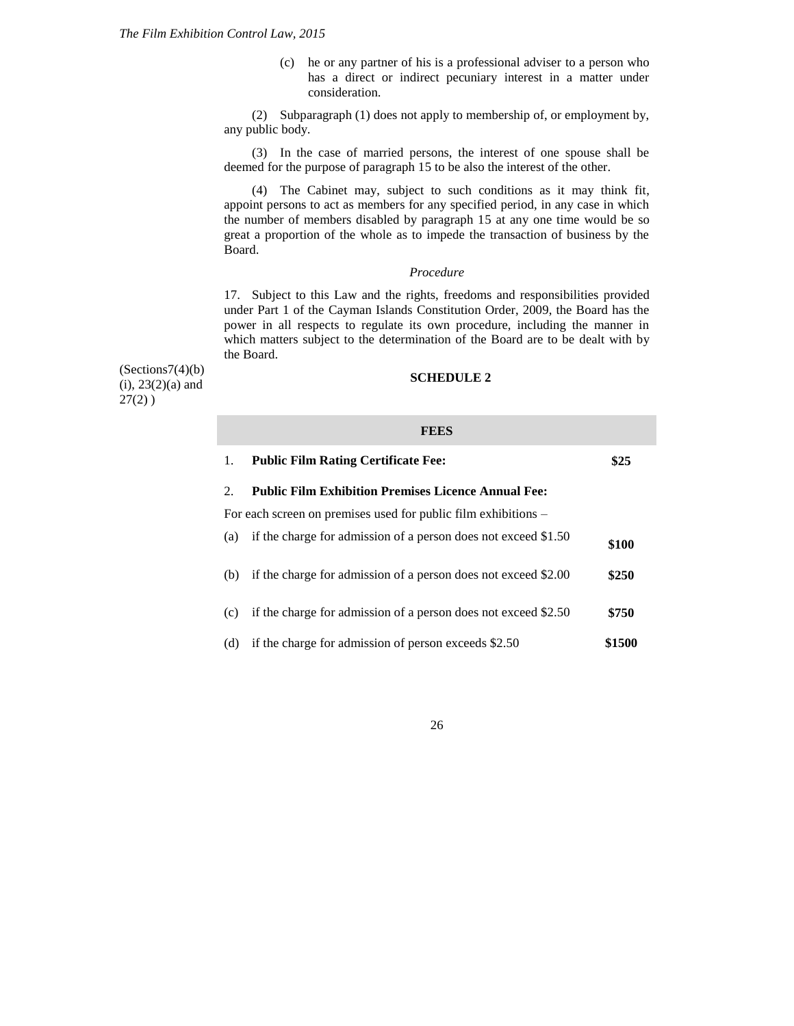(c) he or any partner of his is a professional adviser to a person who has a direct or indirect pecuniary interest in a matter under consideration.

(2) Subparagraph (1) does not apply to membership of, or employment by, any public body.

(3) In the case of married persons, the interest of one spouse shall be deemed for the purpose of paragraph 15 to be also the interest of the other.

(4) The Cabinet may, subject to such conditions as it may think fit, appoint persons to act as members for any specified period, in any case in which the number of members disabled by paragraph 15 at any one time would be so great a proportion of the whole as to impede the transaction of business by the Board.

#### *Procedure*

17. Subject to this Law and the rights, freedoms and responsibilities provided under Part 1 of the Cayman Islands Constitution Order, 2009, the Board has the power in all respects to regulate its own procedure, including the manner in which matters subject to the determination of the Board are to be dealt with by the Board.

## **SCHEDULE 2**

 $(Sections7(4)(b)$ (i), 23(2)(a) and  $27(2)$ )

|     | <b>FEES</b>                                                    |        |
|-----|----------------------------------------------------------------|--------|
| 1.  | <b>Public Film Rating Certificate Fee:</b>                     | \$25   |
| 2.  | <b>Public Film Exhibition Premises Licence Annual Fee:</b>     |        |
|     | For each screen on premises used for public film exhibitions – |        |
| (a) | if the charge for admission of a person does not exceed \$1.50 | \$100  |
| (b) | if the charge for admission of a person does not exceed \$2.00 | \$250  |
| (c) | if the charge for admission of a person does not exceed \$2.50 | \$750  |
| (d) | if the charge for admission of person exceeds \$2.50           | \$1500 |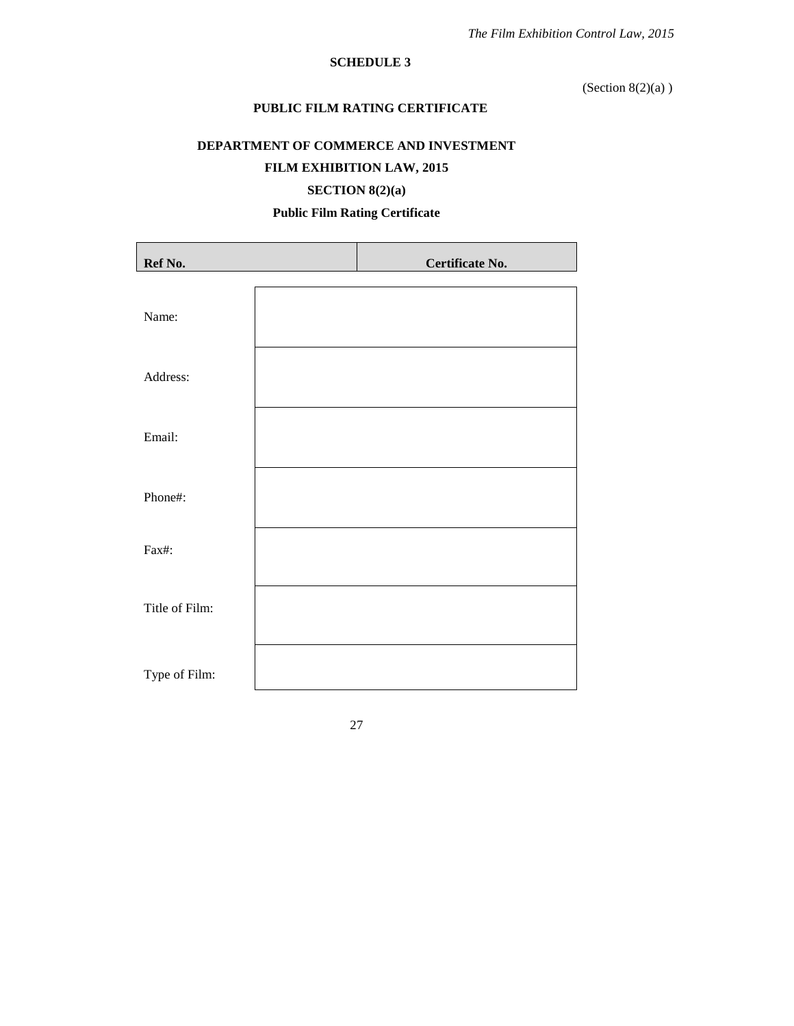## **SCHEDULE 3**

(Section  $8(2)(a)$ )

## **PUBLIC FILM RATING CERTIFICATE**

# **DEPARTMENT OF COMMERCE AND INVESTMENT FILM EXHIBITION LAW, 2015**

## **SECTION 8(2)(a)**

## **Public Film Rating Certificate**

| Ref No.        | Certificate No. |
|----------------|-----------------|
| Name:          |                 |
| Address:       |                 |
| Email:         |                 |
| Phone#:        |                 |
| Fax#:          |                 |
| Title of Film: |                 |
| Type of Film:  |                 |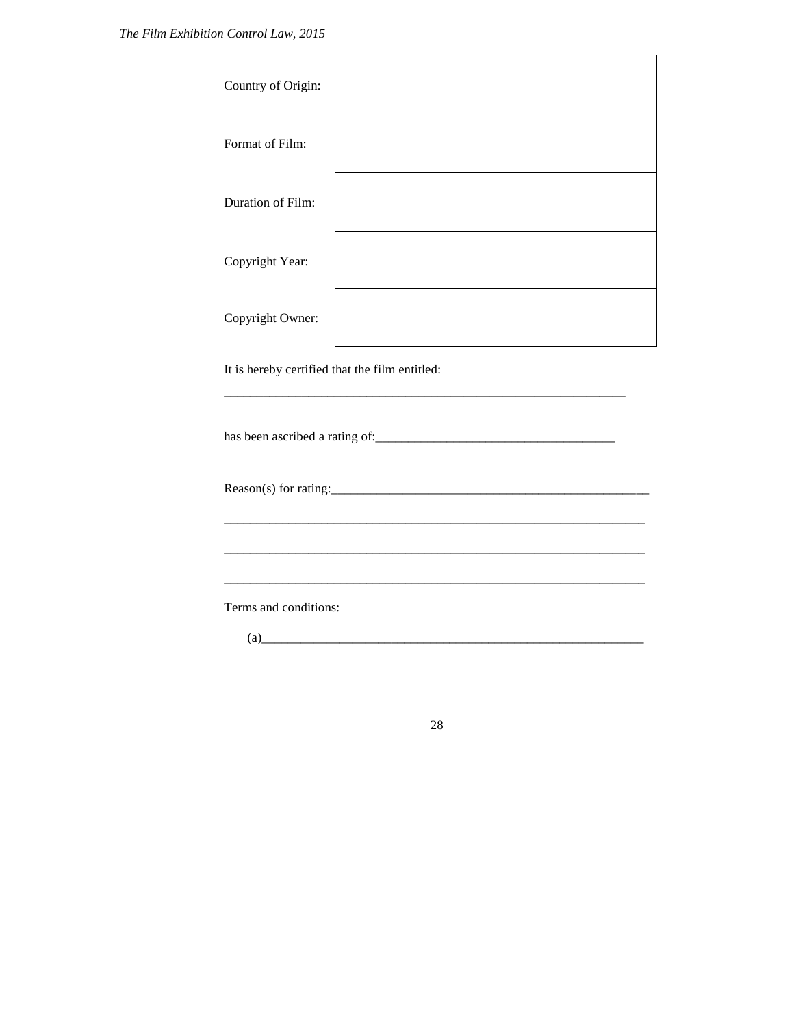| Country of Origin: |  |
|--------------------|--|
| Format of Film:    |  |
| Duration of Film:  |  |
| Copyright Year:    |  |
| Copyright Owner:   |  |

\_\_\_\_\_\_\_\_\_\_\_\_\_\_\_\_\_\_\_\_\_\_\_\_\_\_\_\_\_\_\_\_\_\_\_\_\_\_\_\_\_\_\_\_\_\_\_\_\_\_\_\_\_\_\_\_\_\_\_\_\_\_

\_\_\_\_\_\_\_\_\_\_\_\_\_\_\_\_\_\_\_\_\_\_\_\_\_\_\_\_\_\_\_\_\_\_\_\_\_\_\_\_\_\_\_\_\_\_\_\_\_\_\_\_\_\_\_\_\_\_\_\_\_\_\_\_\_

It is hereby certified that the film entitled:

has been ascribed a rating of:\_\_\_\_\_\_\_\_\_\_\_\_\_\_\_\_\_\_\_\_\_\_\_\_\_\_\_\_\_\_\_\_\_\_\_\_\_

 $Reason(s)$  for rating:

Terms and conditions:

 $\qquad \qquad \text{(a)} \qquad \qquad \qquad \qquad \qquad \qquad \qquad \qquad \text{(b)}$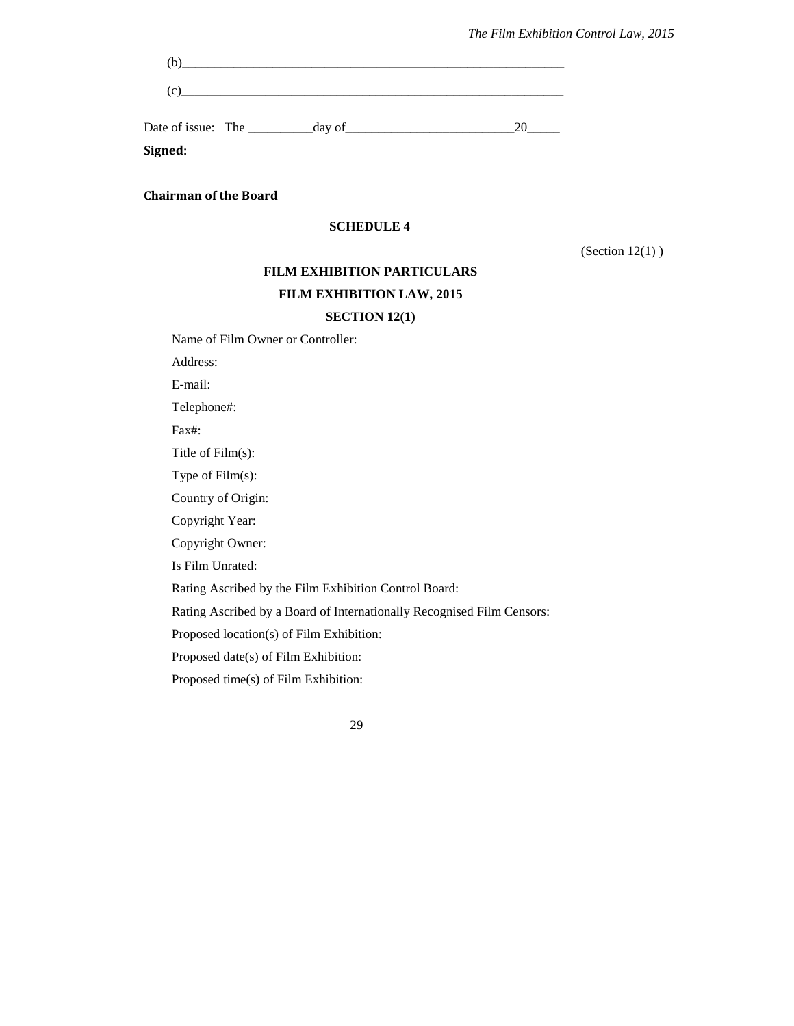| b  |                    |        |  |
|----|--------------------|--------|--|
| c. |                    |        |  |
|    | Date of issue: The | day of |  |

**Signed:**

**Chairman of the Board**

## **SCHEDULE 4**

(Section 12(1) )

## **FILM EXHIBITION PARTICULARS**

## **FILM EXHIBITION LAW, 2015**

### **SECTION 12(1)**

Name of Film Owner or Controller:

Address:

E-mail:

Telephone#:

Fax#:

Title of Film(s):

Type of Film(s):

Country of Origin:

Copyright Year:

Copyright Owner:

Is Film Unrated:

Rating Ascribed by the Film Exhibition Control Board:

Rating Ascribed by a Board of Internationally Recognised Film Censors:

Proposed location(s) of Film Exhibition:

Proposed date(s) of Film Exhibition:

Proposed time(s) of Film Exhibition: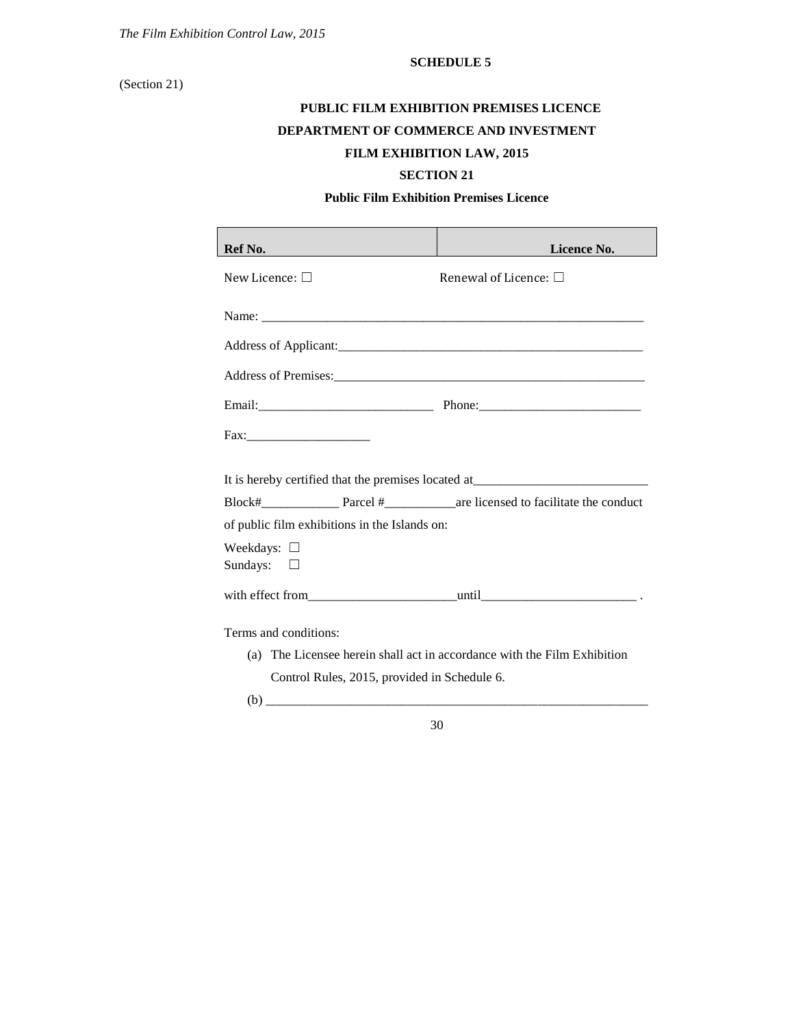(Section 21)

# **PUBLIC FILM EXHIBITION PREMISES LICENCE DEPARTMENT OF COMMERCE AND INVESTMENT FILM EXHIBITION LAW, 2015**

**SCHEDULE 5**

## **SECTION 21**

### **Public Film Exhibition Premises Licence**

| <b>Ref No.</b><br><u> 1989 - Johann Barn, mars ar breithinn ar c</u> | Licence No.                                                              |
|----------------------------------------------------------------------|--------------------------------------------------------------------------|
| New Licence: $\square$                                               | Renewal of Licence: $\square$                                            |
|                                                                      |                                                                          |
|                                                                      |                                                                          |
|                                                                      |                                                                          |
|                                                                      |                                                                          |
|                                                                      |                                                                          |
|                                                                      |                                                                          |
|                                                                      |                                                                          |
|                                                                      |                                                                          |
| of public film exhibitions in the Islands on:                        |                                                                          |
| Weekdays: $\square$                                                  |                                                                          |
| Sundays: $\square$                                                   |                                                                          |
|                                                                      |                                                                          |
| Terms and conditions:                                                |                                                                          |
|                                                                      | (a) The Licensee herein shall act in accordance with the Film Exhibition |

Control Rules, 2015, provided in Schedule 6.

(b) \_\_\_\_\_\_\_\_\_\_\_\_\_\_\_\_\_\_\_\_\_\_\_\_\_\_\_\_\_\_\_\_\_\_\_\_\_\_\_\_\_\_\_\_\_\_\_\_\_\_\_\_\_\_\_\_\_\_\_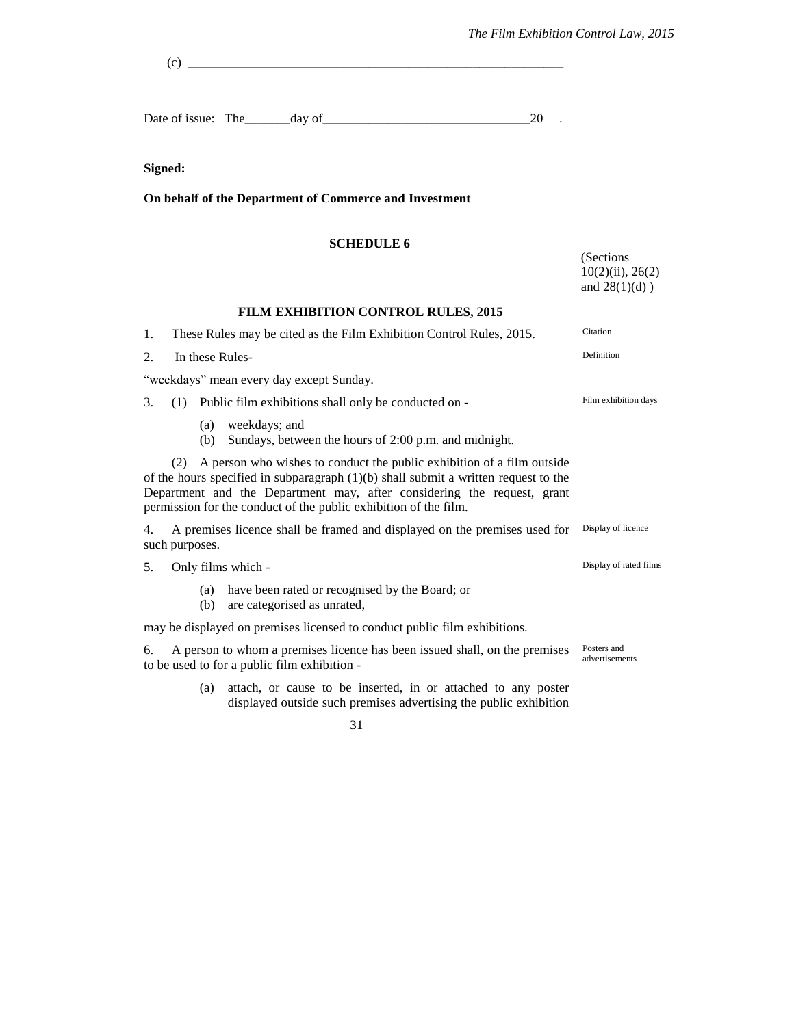(c) \_\_\_\_\_\_\_\_\_\_\_\_\_\_\_\_\_\_\_\_\_\_\_\_\_\_\_\_\_\_\_\_\_\_\_\_\_\_\_\_\_\_\_\_\_\_\_\_\_\_\_\_\_\_\_\_\_\_

Date of issue: The\_\_\_\_\_\_\_day of\_\_\_\_\_\_\_\_\_\_\_\_\_\_\_\_\_\_\_\_\_\_\_\_\_\_\_\_\_\_\_\_20 .

## **Signed:**

**On behalf of the Department of Commerce and Investment**

## **SCHEDULE 6**

|                                                                                                                                                                                                                                                                                                                       | (Sections)<br>$10(2)(ii)$ , $26(2)$<br>and $28(1)(d)$ ) |
|-----------------------------------------------------------------------------------------------------------------------------------------------------------------------------------------------------------------------------------------------------------------------------------------------------------------------|---------------------------------------------------------|
| FILM EXHIBITION CONTROL RULES, 2015                                                                                                                                                                                                                                                                                   |                                                         |
| These Rules may be cited as the Film Exhibition Control Rules, 2015.<br>1.                                                                                                                                                                                                                                            | Citation                                                |
| In these Rules-<br>2.                                                                                                                                                                                                                                                                                                 | Definition                                              |
| "weekdays" mean every day except Sunday.                                                                                                                                                                                                                                                                              |                                                         |
| (1) Public film exhibitions shall only be conducted on -<br>3.                                                                                                                                                                                                                                                        | Film exhibition days                                    |
| weekdays; and<br>(a)<br>Sundays, between the hours of 2:00 p.m. and midnight.<br>(b)                                                                                                                                                                                                                                  |                                                         |
| A person who wishes to conduct the public exhibition of a film outside<br>(2)<br>of the hours specified in subparagraph $(1)(b)$ shall submit a written request to the<br>Department and the Department may, after considering the request, grant<br>permission for the conduct of the public exhibition of the film. |                                                         |
| A premises licence shall be framed and displayed on the premises used for<br>4.<br>such purposes.                                                                                                                                                                                                                     | Display of licence                                      |
| Only films which -<br>5.                                                                                                                                                                                                                                                                                              | Display of rated films                                  |
| have been rated or recognised by the Board; or<br>(a)<br>are categorised as unrated,<br>(b)                                                                                                                                                                                                                           |                                                         |
| may be displayed on premises licensed to conduct public film exhibitions.                                                                                                                                                                                                                                             |                                                         |
| A person to whom a premises licence has been issued shall, on the premises<br>6.<br>to be used to for a public film exhibition -                                                                                                                                                                                      | Posters and<br>advertisements                           |

(a) attach, or cause to be inserted, in or attached to any poster displayed outside such premises advertising the public exhibition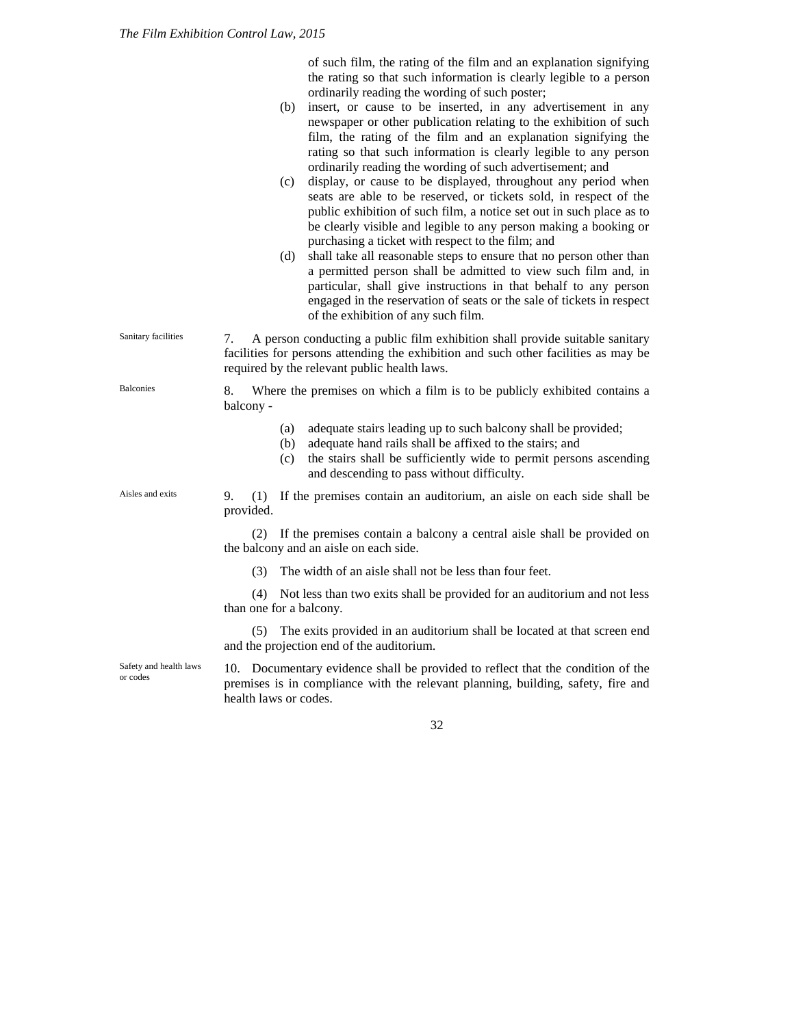of such film, the rating of the film and an explanation signifying the rating so that such information is clearly legible to a person ordinarily reading the wording of such poster;

- (b) insert, or cause to be inserted, in any advertisement in any newspaper or other publication relating to the exhibition of such film, the rating of the film and an explanation signifying the rating so that such information is clearly legible to any person ordinarily reading the wording of such advertisement; and
- (c) display, or cause to be displayed, throughout any period when seats are able to be reserved, or tickets sold, in respect of the public exhibition of such film, a notice set out in such place as to be clearly visible and legible to any person making a booking or purchasing a ticket with respect to the film; and
- (d) shall take all reasonable steps to ensure that no person other than a permitted person shall be admitted to view such film and, in particular, shall give instructions in that behalf to any person engaged in the reservation of seats or the sale of tickets in respect of the exhibition of any such film.
- 7. A person conducting a public film exhibition shall provide suitable sanitary facilities for persons attending the exhibition and such other facilities as may be required by the relevant public health laws. Sanitary facilities

Balconies

Aisles and exits

8. Where the premises on which a film is to be publicly exhibited contains a balcony -

- (a) adequate stairs leading up to such balcony shall be provided;
- (b) adequate hand rails shall be affixed to the stairs; and
- (c) the stairs shall be sufficiently wide to permit persons ascending and descending to pass without difficulty.

9. (1) If the premises contain an auditorium, an aisle on each side shall be provided.

(2) If the premises contain a balcony a central aisle shall be provided on the balcony and an aisle on each side.

(3) The width of an aisle shall not be less than four feet.

(4) Not less than two exits shall be provided for an auditorium and not less than one for a balcony.

(5) The exits provided in an auditorium shall be located at that screen end and the projection end of the auditorium.

Safety and health laws or codes

10. Documentary evidence shall be provided to reflect that the condition of the premises is in compliance with the relevant planning, building, safety, fire and health laws or codes.